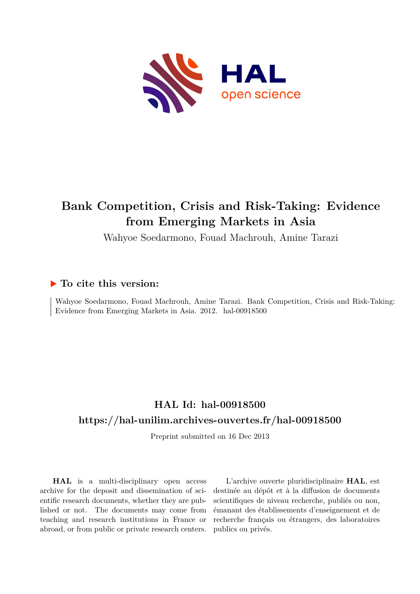

# **Bank Competition, Crisis and Risk-Taking: Evidence from Emerging Markets in Asia**

Wahyoe Soedarmono, Fouad Machrouh, Amine Tarazi

# **To cite this version:**

Wahyoe Soedarmono, Fouad Machrouh, Amine Tarazi. Bank Competition, Crisis and Risk-Taking: Evidence from Emerging Markets in Asia. 2012. hal-00918500

# **HAL Id: hal-00918500 <https://hal-unilim.archives-ouvertes.fr/hal-00918500>**

Preprint submitted on 16 Dec 2013

**HAL** is a multi-disciplinary open access archive for the deposit and dissemination of scientific research documents, whether they are published or not. The documents may come from teaching and research institutions in France or abroad, or from public or private research centers.

L'archive ouverte pluridisciplinaire **HAL**, est destinée au dépôt et à la diffusion de documents scientifiques de niveau recherche, publiés ou non, émanant des établissements d'enseignement et de recherche français ou étrangers, des laboratoires publics ou privés.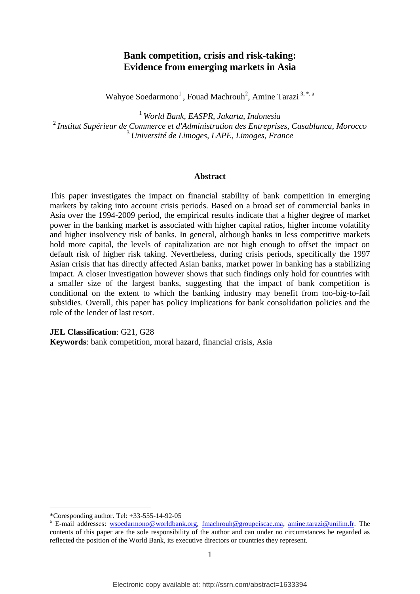# **Bank competition, crisis and risk-taking: Evidence from emerging markets in Asia**

Wahyoe Soedarmono<sup>1</sup>, Fouad Machrouh<sup>2</sup>, Amine Tarazi<sup>3,\*,a</sup>

<sup>1</sup>*World Bank, EASPR, Jakarta, Indonesia*  <sup>2</sup>*Institut Supérieur de Commerce et d'Administration des Entreprises, Casablanca, Morocco*  <sup>3</sup>*Université de Limoges, LAPE, Limoges, France*

#### **Abstract**

This paper investigates the impact on financial stability of bank competition in emerging markets by taking into account crisis periods. Based on a broad set of commercial banks in Asia over the 1994-2009 period, the empirical results indicate that a higher degree of market power in the banking market is associated with higher capital ratios, higher income volatility and higher insolvency risk of banks. In general, although banks in less competitive markets hold more capital, the levels of capitalization are not high enough to offset the impact on default risk of higher risk taking. Nevertheless, during crisis periods, specifically the 1997 Asian crisis that has directly affected Asian banks, market power in banking has a stabilizing impact. A closer investigation however shows that such findings only hold for countries with a smaller size of the largest banks, suggesting that the impact of bank competition is conditional on the extent to which the banking industry may benefit from too-big-to-fail subsidies. Overall, this paper has policy implications for bank consolidation policies and the role of the lender of last resort.

**JEL Classification**: G21, G28

**Keywords**: bank competition, moral hazard, financial crisis, Asia

 $\overline{a}$ 

<sup>\*</sup>Coresponding author. Tel: +33-555-14-92-05

<sup>&</sup>lt;sup>a</sup> E-mail addresses: [wsoedarmono@worldbank.org,](mailto:wsoedarmono@worldbank.org) [fmachrouh@groupeiscae.ma,](http://webmail.unilim.fr/imp/message.php?mailbox=%2A%2Asearch_1ndd57aggwf0dw84s0k4kc&index=1248&thismailbox=INBOX) [amine.tarazi@unilim.fr.](mailto:amine.tarazi@unilim.fr) The contents of this paper are the sole responsibility of the author and can under no circumstances be regarded as reflected the position of the World Bank, its executive directors or countries they represent.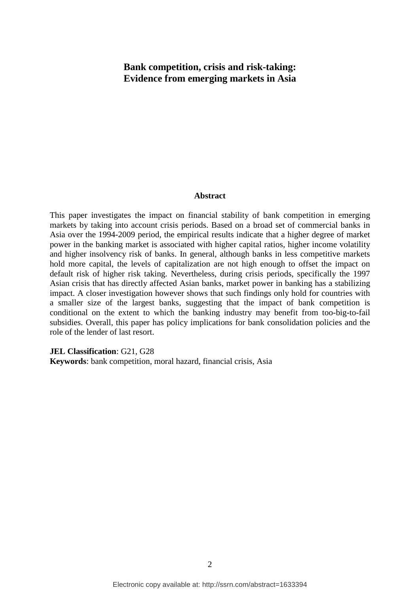# **Bank competition, crisis and risk-taking: Evidence from emerging markets in Asia**

#### **Abstract**

This paper investigates the impact on financial stability of bank competition in emerging markets by taking into account crisis periods. Based on a broad set of commercial banks in Asia over the 1994-2009 period, the empirical results indicate that a higher degree of market power in the banking market is associated with higher capital ratios, higher income volatility and higher insolvency risk of banks. In general, although banks in less competitive markets hold more capital, the levels of capitalization are not high enough to offset the impact on default risk of higher risk taking. Nevertheless, during crisis periods, specifically the 1997 Asian crisis that has directly affected Asian banks, market power in banking has a stabilizing impact. A closer investigation however shows that such findings only hold for countries with a smaller size of the largest banks, suggesting that the impact of bank competition is conditional on the extent to which the banking industry may benefit from too-big-to-fail subsidies. Overall, this paper has policy implications for bank consolidation policies and the role of the lender of last resort.

**JEL Classification**: G21, G28

**Keywords**: bank competition, moral hazard, financial crisis, Asia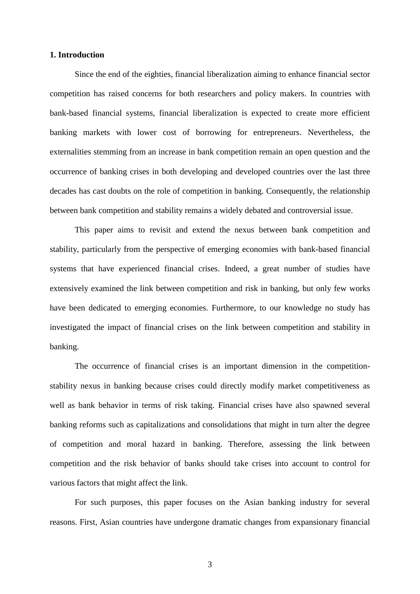# **1. Introduction**

 Since the end of the eighties, financial liberalization aiming to enhance financial sector competition has raised concerns for both researchers and policy makers. In countries with bank-based financial systems, financial liberalization is expected to create more efficient banking markets with lower cost of borrowing for entrepreneurs. Nevertheless, the externalities stemming from an increase in bank competition remain an open question and the occurrence of banking crises in both developing and developed countries over the last three decades has cast doubts on the role of competition in banking. Consequently, the relationship between bank competition and stability remains a widely debated and controversial issue.

This paper aims to revisit and extend the nexus between bank competition and stability, particularly from the perspective of emerging economies with bank-based financial systems that have experienced financial crises. Indeed, a great number of studies have extensively examined the link between competition and risk in banking, but only few works have been dedicated to emerging economies. Furthermore, to our knowledge no study has investigated the impact of financial crises on the link between competition and stability in banking.

The occurrence of financial crises is an important dimension in the competitionstability nexus in banking because crises could directly modify market competitiveness as well as bank behavior in terms of risk taking. Financial crises have also spawned several banking reforms such as capitalizations and consolidations that might in turn alter the degree of competition and moral hazard in banking. Therefore, assessing the link between competition and the risk behavior of banks should take crises into account to control for various factors that might affect the link.

For such purposes, this paper focuses on the Asian banking industry for several reasons. First, Asian countries have undergone dramatic changes from expansionary financial

3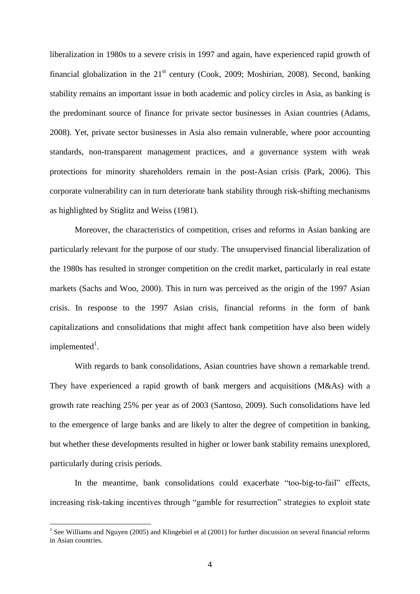liberalization in 1980s to a severe crisis in 1997 and again, have experienced rapid growth of financial globalization in the  $21<sup>st</sup>$  century (Cook, 2009; Moshirian, 2008). Second, banking stability remains an important issue in both academic and policy circles in Asia, as banking is the predominant source of finance for private sector businesses in Asian countries (Adams, 2008). Yet, private sector businesses in Asia also remain vulnerable, where poor accounting standards, non-transparent management practices, and a governance system with weak protections for minority shareholders remain in the post-Asian crisis (Park, 2006). This corporate vulnerability can in turn deteriorate bank stability through risk-shifting mechanisms as highlighted by Stiglitz and Weiss (1981).

Moreover, the characteristics of competition, crises and reforms in Asian banking are particularly relevant for the purpose of our study. The unsupervised financial liberalization of the 1980s has resulted in stronger competition on the credit market, particularly in real estate markets (Sachs and Woo, 2000). This in turn was perceived as the origin of the 1997 Asian crisis. In response to the 1997 Asian crisis, financial reforms in the form of bank capitalizations and consolidations that might affect bank competition have also been widely implemented<sup>1</sup>.

 With regards to bank consolidations, Asian countries have shown a remarkable trend. They have experienced a rapid growth of bank mergers and acquisitions (M&As) with a growth rate reaching 25% per year as of 2003 (Santoso, 2009). Such consolidations have led to the emergence of large banks and are likely to alter the degree of competition in banking, but whether these developments resulted in higher or lower bank stability remains unexplored, particularly during crisis periods.

In the meantime, bank consolidations could exacerbate "too-big-to-fail" effects, increasing risk-taking incentives through "gamble for resurrection" strategies to exploit state

 $\overline{a}$ 

 $<sup>1</sup>$  See Williams and Nguyen (2005) and Klingebiel et al (2001) for further discussion on several financial reforms</sup> in Asian countries.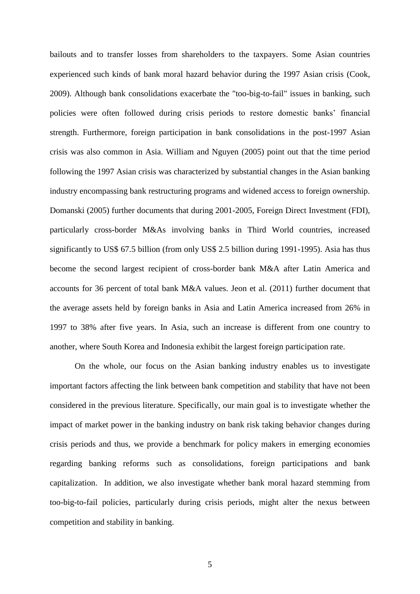bailouts and to transfer losses from shareholders to the taxpayers. Some Asian countries experienced such kinds of bank moral hazard behavior during the 1997 Asian crisis (Cook, 2009). Although bank consolidations exacerbate the "too-big-to-fail" issues in banking, such policies were often followed during crisis periods to restore domestic banks" financial strength. Furthermore, foreign participation in bank consolidations in the post-1997 Asian crisis was also common in Asia. William and Nguyen (2005) point out that the time period following the 1997 Asian crisis was characterized by substantial changes in the Asian banking industry encompassing bank restructuring programs and widened access to foreign ownership. Domanski (2005) further documents that during 2001-2005, Foreign Direct Investment (FDI), particularly cross-border M&As involving banks in Third World countries, increased significantly to US\$ 67.5 billion (from only US\$ 2.5 billion during 1991-1995). Asia has thus become the second largest recipient of cross-border bank M&A after Latin America and accounts for 36 percent of total bank M&A values. Jeon et al. (2011) further document that the average assets held by foreign banks in Asia and Latin America increased from 26% in 1997 to 38% after five years. In Asia, such an increase is different from one country to another, where South Korea and Indonesia exhibit the largest foreign participation rate.

On the whole, our focus on the Asian banking industry enables us to investigate important factors affecting the link between bank competition and stability that have not been considered in the previous literature. Specifically, our main goal is to investigate whether the impact of market power in the banking industry on bank risk taking behavior changes during crisis periods and thus, we provide a benchmark for policy makers in emerging economies regarding banking reforms such as consolidations, foreign participations and bank capitalization. In addition, we also investigate whether bank moral hazard stemming from too-big-to-fail policies, particularly during crisis periods, might alter the nexus between competition and stability in banking.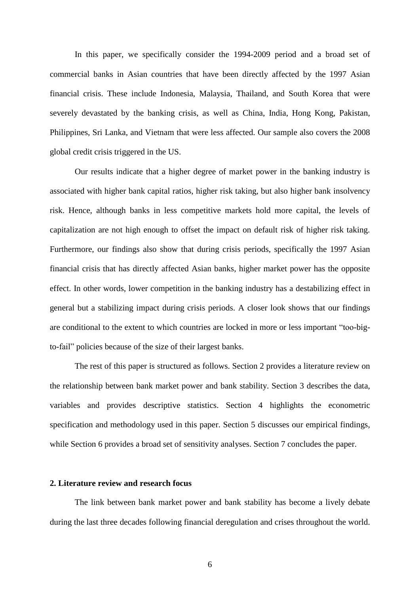In this paper, we specifically consider the 1994-2009 period and a broad set of commercial banks in Asian countries that have been directly affected by the 1997 Asian financial crisis. These include Indonesia, Malaysia, Thailand, and South Korea that were severely devastated by the banking crisis, as well as China, India, Hong Kong, Pakistan, Philippines, Sri Lanka, and Vietnam that were less affected. Our sample also covers the 2008 global credit crisis triggered in the US.

 Our results indicate that a higher degree of market power in the banking industry is associated with higher bank capital ratios, higher risk taking, but also higher bank insolvency risk. Hence, although banks in less competitive markets hold more capital, the levels of capitalization are not high enough to offset the impact on default risk of higher risk taking. Furthermore, our findings also show that during crisis periods, specifically the 1997 Asian financial crisis that has directly affected Asian banks, higher market power has the opposite effect. In other words, lower competition in the banking industry has a destabilizing effect in general but a stabilizing impact during crisis periods. A closer look shows that our findings are conditional to the extent to which countries are locked in more or less important "too-bigto-fail" policies because of the size of their largest banks.

 The rest of this paper is structured as follows. Section 2 provides a literature review on the relationship between bank market power and bank stability. Section 3 describes the data, variables and provides descriptive statistics. Section 4 highlights the econometric specification and methodology used in this paper. Section 5 discusses our empirical findings, while Section 6 provides a broad set of sensitivity analyses. Section 7 concludes the paper.

# **2. Literature review and research focus**

 The link between bank market power and bank stability has become a lively debate during the last three decades following financial deregulation and crises throughout the world.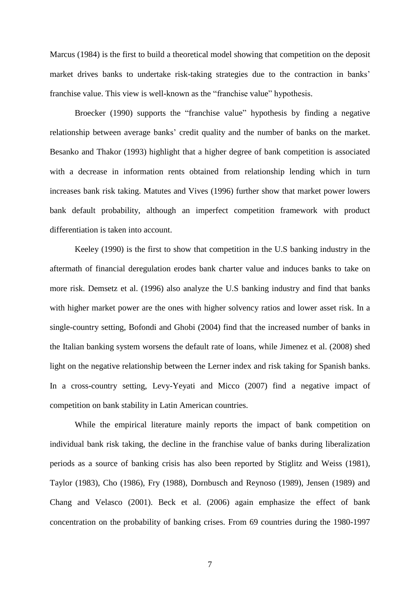Marcus (1984) is the first to build a theoretical model showing that competition on the deposit market drives banks to undertake risk-taking strategies due to the contraction in banks' franchise value. This view is well-known as the "franchise value" hypothesis.

 Broecker (1990) supports the "franchise value" hypothesis by finding a negative relationship between average banks" credit quality and the number of banks on the market. Besanko and Thakor (1993) highlight that a higher degree of bank competition is associated with a decrease in information rents obtained from relationship lending which in turn increases bank risk taking. Matutes and Vives (1996) further show that market power lowers bank default probability, although an imperfect competition framework with product differentiation is taken into account.

 Keeley (1990) is the first to show that competition in the U.S banking industry in the aftermath of financial deregulation erodes bank charter value and induces banks to take on more risk. Demsetz et al. (1996) also analyze the U.S banking industry and find that banks with higher market power are the ones with higher solvency ratios and lower asset risk. In a single-country setting, Bofondi and Ghobi (2004) find that the increased number of banks in the Italian banking system worsens the default rate of loans, while Jimenez et al. (2008) shed light on the negative relationship between the Lerner index and risk taking for Spanish banks. In a cross-country setting, Levy-Yeyati and Micco (2007) find a negative impact of competition on bank stability in Latin American countries.

 While the empirical literature mainly reports the impact of bank competition on individual bank risk taking, the decline in the franchise value of banks during liberalization periods as a source of banking crisis has also been reported by Stiglitz and Weiss (1981), Taylor (1983), Cho (1986), Fry (1988), Dornbusch and Reynoso (1989), Jensen (1989) and Chang and Velasco (2001). Beck et al. (2006) again emphasize the effect of bank concentration on the probability of banking crises. From 69 countries during the 1980-1997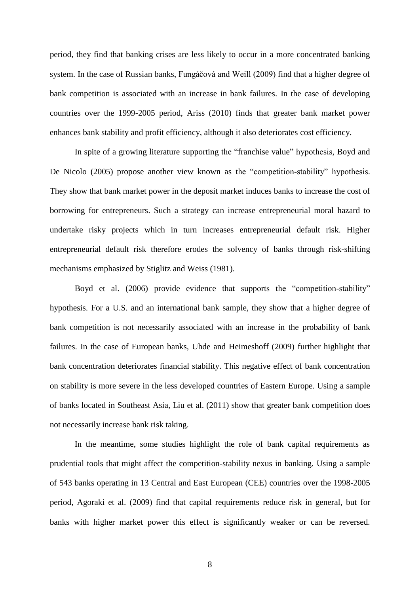period, they find that banking crises are less likely to occur in a more concentrated banking system. In the case of Russian banks, Fungáčová and Weill (2009) find that a higher degree of bank competition is associated with an increase in bank failures. In the case of developing countries over the 1999-2005 period, Ariss (2010) finds that greater bank market power enhances bank stability and profit efficiency, although it also deteriorates cost efficiency.

 In spite of a growing literature supporting the "franchise value" hypothesis, Boyd and De Nicolo (2005) propose another view known as the "competition-stability" hypothesis. They show that bank market power in the deposit market induces banks to increase the cost of borrowing for entrepreneurs. Such a strategy can increase entrepreneurial moral hazard to undertake risky projects which in turn increases entrepreneurial default risk. Higher entrepreneurial default risk therefore erodes the solvency of banks through risk-shifting mechanisms emphasized by Stiglitz and Weiss (1981).

Boyd et al. (2006) provide evidence that supports the "competition-stability" hypothesis. For a U.S. and an international bank sample, they show that a higher degree of bank competition is not necessarily associated with an increase in the probability of bank failures. In the case of European banks, Uhde and Heimeshoff (2009) further highlight that bank concentration deteriorates financial stability. This negative effect of bank concentration on stability is more severe in the less developed countries of Eastern Europe. Using a sample of banks located in Southeast Asia, Liu et al. (2011) show that greater bank competition does not necessarily increase bank risk taking.

 In the meantime, some studies highlight the role of bank capital requirements as prudential tools that might affect the competition-stability nexus in banking. Using a sample of 543 banks operating in 13 Central and East European (CEE) countries over the 1998-2005 period, Agoraki et al. (2009) find that capital requirements reduce risk in general, but for banks with higher market power this effect is significantly weaker or can be reversed.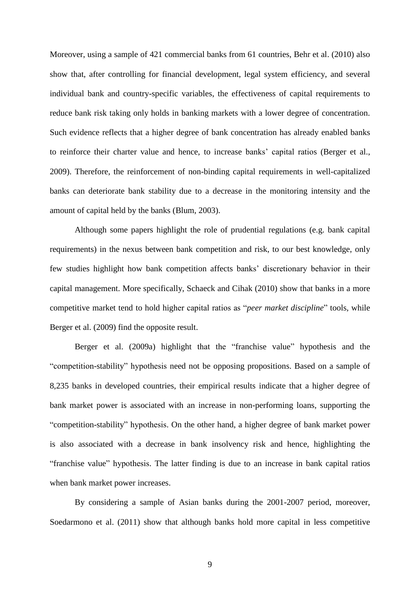Moreover, using a sample of 421 commercial banks from 61 countries, Behr et al. (2010) also show that, after controlling for financial development, legal system efficiency, and several individual bank and country-specific variables, the effectiveness of capital requirements to reduce bank risk taking only holds in banking markets with a lower degree of concentration. Such evidence reflects that a higher degree of bank concentration has already enabled banks to reinforce their charter value and hence, to increase banks" capital ratios (Berger et al., 2009). Therefore, the reinforcement of non-binding capital requirements in well-capitalized banks can deteriorate bank stability due to a decrease in the monitoring intensity and the amount of capital held by the banks (Blum, 2003).

 Although some papers highlight the role of prudential regulations (e.g. bank capital requirements) in the nexus between bank competition and risk, to our best knowledge, only few studies highlight how bank competition affects banks" discretionary behavior in their capital management. More specifically, Schaeck and Cihak (2010) show that banks in a more competitive market tend to hold higher capital ratios as "*peer market discipline*" tools, while Berger et al. (2009) find the opposite result.

 Berger et al. (2009a) highlight that the "franchise value" hypothesis and the "competition-stability" hypothesis need not be opposing propositions. Based on a sample of 8,235 banks in developed countries, their empirical results indicate that a higher degree of bank market power is associated with an increase in non-performing loans, supporting the "competition-stability" hypothesis. On the other hand, a higher degree of bank market power is also associated with a decrease in bank insolvency risk and hence, highlighting the "franchise value" hypothesis. The latter finding is due to an increase in bank capital ratios when bank market power increases.

 By considering a sample of Asian banks during the 2001-2007 period, moreover, Soedarmono et al. (2011) show that although banks hold more capital in less competitive

9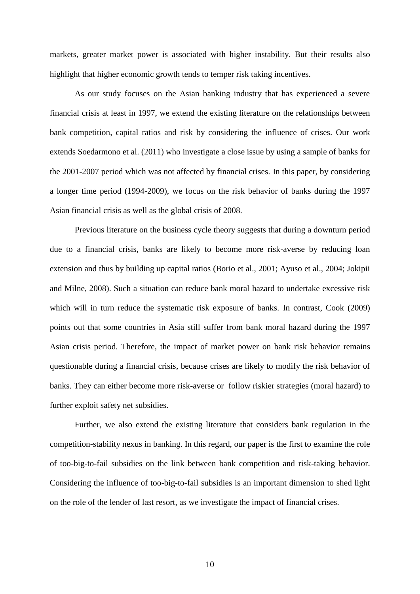markets, greater market power is associated with higher instability. But their results also highlight that higher economic growth tends to temper risk taking incentives.

 As our study focuses on the Asian banking industry that has experienced a severe financial crisis at least in 1997, we extend the existing literature on the relationships between bank competition, capital ratios and risk by considering the influence of crises. Our work extends Soedarmono et al. (2011) who investigate a close issue by using a sample of banks for the 2001-2007 period which was not affected by financial crises. In this paper, by considering a longer time period (1994-2009), we focus on the risk behavior of banks during the 1997 Asian financial crisis as well as the global crisis of 2008.

 Previous literature on the business cycle theory suggests that during a downturn period due to a financial crisis, banks are likely to become more risk-averse by reducing loan extension and thus by building up capital ratios (Borio et al., 2001; Ayuso et al., 2004; Jokipii and Milne, 2008). Such a situation can reduce bank moral hazard to undertake excessive risk which will in turn reduce the systematic risk exposure of banks. In contrast, Cook (2009) points out that some countries in Asia still suffer from bank moral hazard during the 1997 Asian crisis period. Therefore, the impact of market power on bank risk behavior remains questionable during a financial crisis, because crises are likely to modify the risk behavior of banks. They can either become more risk-averse or follow riskier strategies (moral hazard) to further exploit safety net subsidies.

 Further, we also extend the existing literature that considers bank regulation in the competition-stability nexus in banking. In this regard, our paper is the first to examine the role of too-big-to-fail subsidies on the link between bank competition and risk-taking behavior. Considering the influence of too-big-to-fail subsidies is an important dimension to shed light on the role of the lender of last resort, as we investigate the impact of financial crises.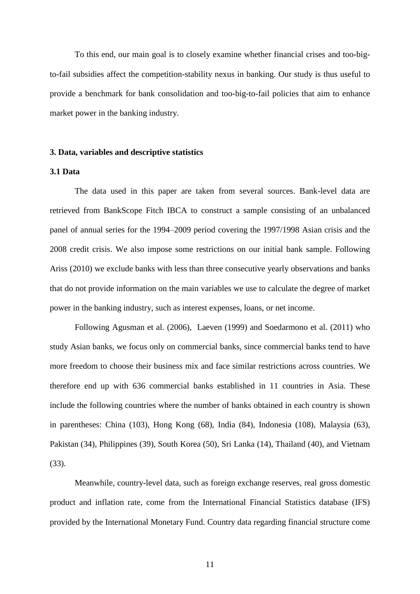To this end, our main goal is to closely examine whether financial crises and too-bigto-fail subsidies affect the competition-stability nexus in banking. Our study is thus useful to provide a benchmark for bank consolidation and too-big-to-fail policies that aim to enhance market power in the banking industry.

#### **3. Data, variables and descriptive statistics**

## **3.1 Data**

 The data used in this paper are taken from several sources. Bank-level data are retrieved from BankScope Fitch IBCA to construct a sample consisting of an unbalanced panel of annual series for the 1994–2009 period covering the 1997/1998 Asian crisis and the 2008 credit crisis. We also impose some restrictions on our initial bank sample. Following Ariss (2010) we exclude banks with less than three consecutive yearly observations and banks that do not provide information on the main variables we use to calculate the degree of market power in the banking industry, such as interest expenses, loans, or net income.

Following Agusman et al. (2006), Laeven (1999) and Soedarmono et al. (2011) who study Asian banks, we focus only on commercial banks, since commercial banks tend to have more freedom to choose their business mix and face similar restrictions across countries. We therefore end up with 636 commercial banks established in 11 countries in Asia. These include the following countries where the number of banks obtained in each country is shown in parentheses: China (103), Hong Kong (68), India (84), Indonesia (108), Malaysia (63), Pakistan (34), Philippines (39), South Korea (50), Sri Lanka (14), Thailand (40), and Vietnam (33).

Meanwhile, country-level data, such as foreign exchange reserves, real gross domestic product and inflation rate, come from the International Financial Statistics database (IFS) provided by the International Monetary Fund. Country data regarding financial structure come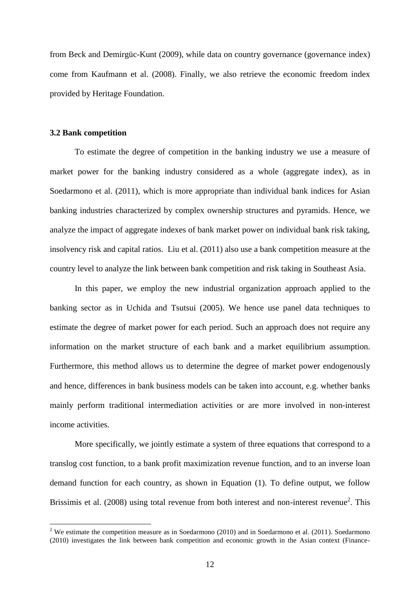from Beck and Demirgüc-Kunt (2009), while data on country governance (governance index) come from Kaufmann et al. (2008). Finally, we also retrieve the economic freedom index provided by Heritage Foundation.

#### **3.2 Bank competition**

 $\overline{a}$ 

 To estimate the degree of competition in the banking industry we use a measure of market power for the banking industry considered as a whole (aggregate index), as in Soedarmono et al. (2011), which is more appropriate than individual bank indices for Asian banking industries characterized by complex ownership structures and pyramids. Hence, we analyze the impact of aggregate indexes of bank market power on individual bank risk taking, insolvency risk and capital ratios. Liu et al. (2011) also use a bank competition measure at the country level to analyze the link between bank competition and risk taking in Southeast Asia.

 In this paper, we employ the new industrial organization approach applied to the banking sector as in Uchida and Tsutsui (2005). We hence use panel data techniques to estimate the degree of market power for each period. Such an approach does not require any information on the market structure of each bank and a market equilibrium assumption. Furthermore, this method allows us to determine the degree of market power endogenously and hence, differences in bank business models can be taken into account, e.g. whether banks mainly perform traditional intermediation activities or are more involved in non-interest income activities.

More specifically, we jointly estimate a system of three equations that correspond to a translog cost function, to a bank profit maximization revenue function, and to an inverse loan demand function for each country, as shown in Equation (1). To define output, we follow Brissimis et al. (2008) using total revenue from both interest and non-interest revenue<sup>2</sup>. This

<sup>&</sup>lt;sup>2</sup> We estimate the competition measure as in Soedarmono (2010) and in Soedarmono et al. (2011). Soedarmono (2010) investigates the link between bank competition and economic growth in the Asian context (Finance-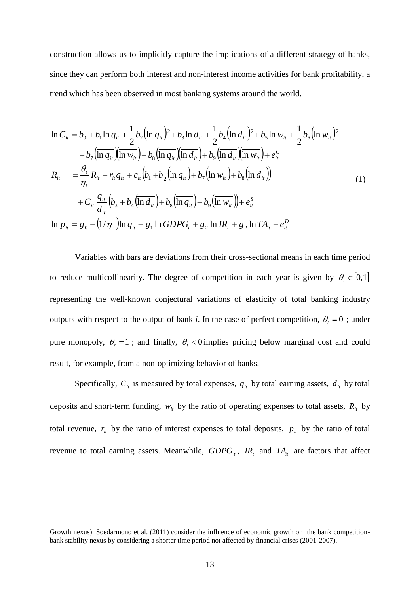construction allows us to implicitly capture the implications of a different strategy of banks, since they can perform both interest and non-interest income activities for bank profitability, a trend which has been observed in most banking systems around the world.

$$
\ln C_{ii} = b_{0} + b_{1} \overline{\ln q_{ii}} + \frac{1}{2} b_{2} (\overline{\ln q_{ii}})^{2} + b_{3} \overline{\ln d_{ii}} + \frac{1}{2} b_{4} (\overline{\ln d_{ii}})^{2} + b_{5} \overline{\ln w_{ii}} + \frac{1}{2} b_{6} (\overline{\ln w_{ii}})^{2}
$$
  
+  $b_{7} (\overline{\ln q_{ii}}) (\overline{\ln w_{ii}}) + b_{8} (\overline{\ln q_{ii}}) (\overline{\ln d_{ii}}) + b_{9} (\overline{\ln d_{ii}}) (\overline{\ln w_{ii}}) + e_{ii}^{C}$   

$$
R_{ii} = \frac{\theta_{i}}{\eta_{i}} R_{ii} + r_{ii} q_{ii} + c_{ii} (b_{1} + b_{2} (\overline{\ln q_{ii}}) + b_{7} (\overline{\ln w_{ii}}) + b_{8} (\overline{\ln d_{ii}}))
$$
  
+  $C_{ii} \frac{q_{ii}}{d_{ii}} (b_{3} + b_{4} (\overline{\ln d_{ii}}) + b_{8} (\overline{\ln q_{ii}}) + b_{9} (\overline{\ln w_{ii}})) + e_{ii}^{S}$   

$$
\ln p_{ii} = g_{0} - (1/\eta) \ln q_{ii} + g_{1} \ln GDPG_{i} + g_{2} \ln IR_{i} + g_{2} \ln TA_{ii} + e_{ii}^{D}
$$
 (1)

 Variables with bars are deviations from their cross-sectional means in each time period to reduce multicollinearity. The degree of competition in each year is given by  $\theta_t \in [0,1]$ representing the well-known conjectural variations of elasticity of total banking industry outputs with respect to the output of bank *i*. In the case of perfect competition,  $\theta_t = 0$ ; under pure monopoly,  $\theta_t = 1$ ; and finally,  $\theta_t < 0$  implies pricing below marginal cost and could result, for example, from a non-optimizing behavior of banks.

Specifically,  $C_i$  is measured by total expenses,  $q_i$  by total earning assets,  $d_i$  by total deposits and short-term funding,  $w_i$  by the ratio of operating expenses to total assets,  $R_i$  by total revenue,  $r_i$  by the ratio of interest expenses to total deposits,  $p_i$  by the ratio of total revenue to total earning assets. Meanwhile,  $GDPG_t$ ,  $IR_t$  and  $TA_{it}$  are factors that affect

 $\overline{a}$ 

Growth nexus). Soedarmono et al. (2011) consider the influence of economic growth on the bank competitionbank stability nexus by considering a shorter time period not affected by financial crises (2001-2007).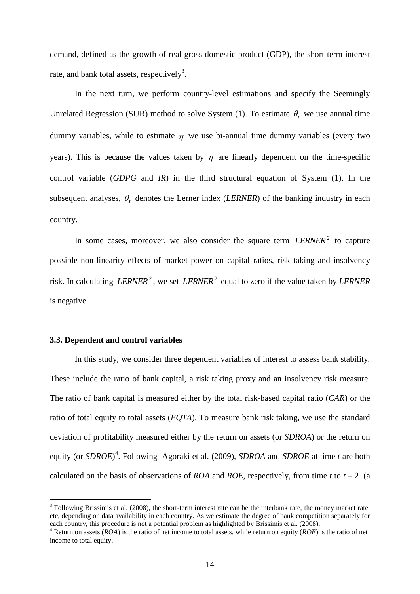demand, defined as the growth of real gross domestic product (GDP), the short-term interest rate, and bank total assets, respectively<sup>3</sup>.

 In the next turn, we perform country-level estimations and specify the Seemingly Unrelated Regression (SUR) method to solve System (1). To estimate  $\theta$ , we use annual time dummy variables, while to estimate  $\eta$  we use bi-annual time dummy variables (every two years). This is because the values taken by  $\eta$  are linearly dependent on the time-specific control variable (*GDPG* and *IR*) in the third structural equation of System (1). In the subsequent analyses,  $\theta_t$  denotes the Lerner index (*LERNER*) of the banking industry in each country.

In some cases, moreover, we also consider the square term  $LERNER^2$  to capture possible non-linearity effects of market power on capital ratios, risk taking and insolvency risk. In calculating *LERNER*<sup>2</sup>, we set *LERNER*<sup>2</sup> equal to zero if the value taken by *LERNER* is negative.

#### **3.3. Dependent and control variables**

 $\overline{a}$ 

In this study, we consider three dependent variables of interest to assess bank stability. These include the ratio of bank capital, a risk taking proxy and an insolvency risk measure. The ratio of bank capital is measured either by the total risk-based capital ratio (*CAR*) or the ratio of total equity to total assets (*EQTA*). To measure bank risk taking, we use the standard deviation of profitability measured either by the return on assets (or *SDROA*) or the return on equity (or *SDROE*) 4 . Following Agoraki et al. (2009), *SDROA* and *SDROE* at time *t* are both calculated on the basis of observations of *ROA* and *ROE*, respectively, from time *t* to  $t - 2$  (a

 $3$  Following Brissimis et al. (2008), the short-term interest rate can be the interbank rate, the money market rate, etc, depending on data availability in each country. As we estimate the degree of bank competition separately for each country, this procedure is not a potential problem as highlighted by Brissimis et al. (2008).

<sup>4</sup> Return on assets (*ROA*) is the ratio of net income to total assets, while return on equity (*ROE*) is the ratio of net income to total equity.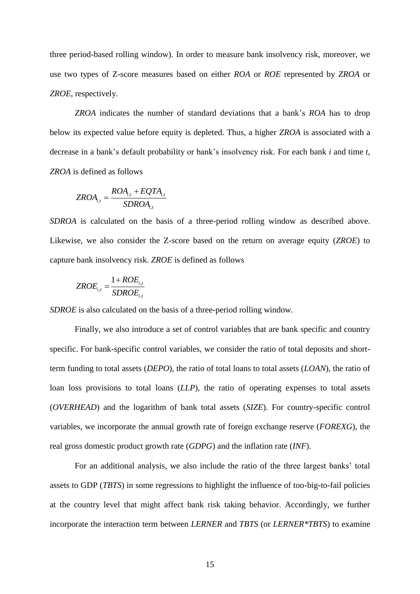three period-based rolling window). In order to measure bank insolvency risk, moreover, we use two types of Z-score measures based on either *ROA* or *ROE* represented by *ZROA* or *ZROE*, respectively.

*ZROA* indicates the number of standard deviations that a bank"s *ROA* has to drop below its expected value before equity is depleted. Thus, a higher *ZROA* is associated with a decrease in a bank"s default probability or bank"s insolvency risk. For each bank *i* and time *t*, *ZROA* is defined as follows

$$
ZROA_{i,t} = \frac{ROA_{i,t} + EQTA_{i,t}}{SDROA_{i,t}}
$$

*SDROA* is calculated on the basis of a three-period rolling window as described above. Likewise, we also consider the Z-score based on the return on average equity (*ZROE*) to capture bank insolvency risk. *ZROE* is defined as follows

$$
ZROE_{i,t} = \frac{1 + ROE_{i,t}}{SDROE_{i,t}}
$$

*SDROE* is also calculated on the basis of a three-period rolling window.

 Finally, we also introduce a set of control variables that are bank specific and country specific. For bank-specific control variables, we consider the ratio of total deposits and shortterm funding to total assets (*DEPO*), the ratio of total loans to total assets (*LOAN*), the ratio of loan loss provisions to total loans (*LLP*), the ratio of operating expenses to total assets (*OVERHEAD*) and the logarithm of bank total assets (*SIZE*). For country-specific control variables, we incorporate the annual growth rate of foreign exchange reserve (*FOREXG*), the real gross domestic product growth rate (*GDPG*) and the inflation rate (*INF*).

 For an additional analysis, we also include the ratio of the three largest banks" total assets to GDP (*TBTS*) in some regressions to highlight the influence of too-big-to-fail policies at the country level that might affect bank risk taking behavior. Accordingly, we further incorporate the interaction term between *LERNER* and *TBTS* (or *LERNER\*TBTS*) to examine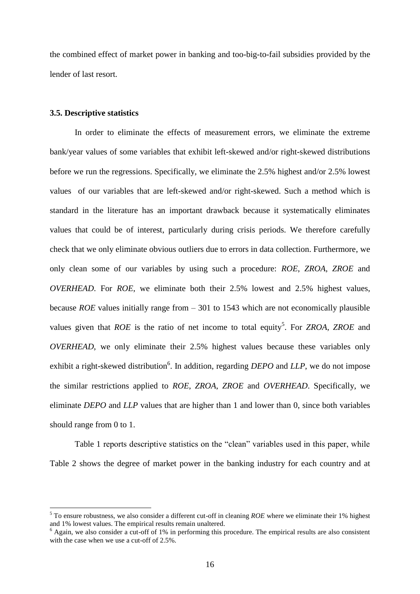the combined effect of market power in banking and too-big-to-fail subsidies provided by the lender of last resort.

#### **3.5. Descriptive statistics**

 $\overline{a}$ 

 In order to eliminate the effects of measurement errors, we eliminate the extreme bank/year values of some variables that exhibit left-skewed and/or right-skewed distributions before we run the regressions. Specifically, we eliminate the 2.5% highest and/or 2.5% lowest values of our variables that are left-skewed and/or right-skewed. Such a method which is standard in the literature has an important drawback because it systematically eliminates values that could be of interest, particularly during crisis periods. We therefore carefully check that we only eliminate obvious outliers due to errors in data collection. Furthermore, we only clean some of our variables by using such a procedure: *ROE*, *ZROA*, *ZROE* and *OVERHEAD*. For *ROE*, we eliminate both their 2.5% lowest and 2.5% highest values, because *ROE* values initially range from – 301 to 1543 which are not economically plausible values given that *ROE* is the ratio of net income to total equity<sup>5</sup>. For *ZROA*, *ZROE* and *OVERHEAD*, we only eliminate their 2.5% highest values because these variables only exhibit a right-skewed distribution<sup>6</sup>. In addition, regarding *DEPO* and *LLP*, we do not impose the similar restrictions applied to *ROE*, *ZROA*, *ZROE* and *OVERHEAD*. Specifically, we eliminate *DEPO* and *LLP* values that are higher than 1 and lower than 0, since both variables should range from 0 to 1.

 Table 1 reports descriptive statistics on the "clean" variables used in this paper, while Table 2 shows the degree of market power in the banking industry for each country and at

<sup>&</sup>lt;sup>5</sup> To ensure robustness, we also consider a different cut-off in cleaning *ROE* where we eliminate their 1% highest and 1% lowest values. The empirical results remain unaltered.

<sup>&</sup>lt;sup>6</sup> Again, we also consider a cut-off of 1% in performing this procedure. The empirical results are also consistent with the case when we use a cut-off of 2.5%.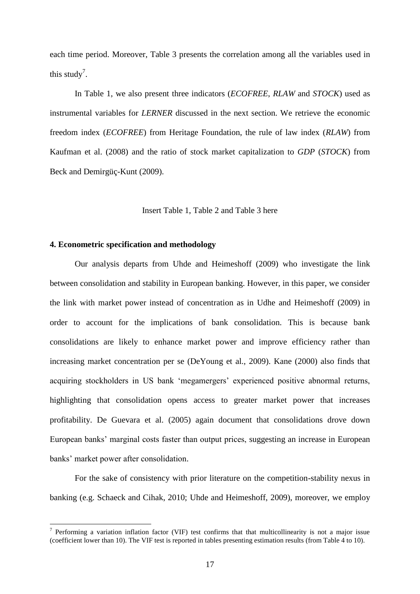each time period. Moreover, Table 3 presents the correlation among all the variables used in this study<sup>7</sup>.

 In Table 1, we also present three indicators (*ECOFREE*, *RLAW* and *STOCK*) used as instrumental variables for *LERNER* discussed in the next section. We retrieve the economic freedom index (*ECOFREE*) from Heritage Foundation, the rule of law index (*RLAW*) from Kaufman et al. (2008) and the ratio of stock market capitalization to *GDP* (*STOCK*) from Beck and Demirgüç-Kunt (2009).

Insert Table 1, Table 2 and Table 3 here

# **4. Econometric specification and methodology**

 $\overline{a}$ 

 Our analysis departs from Uhde and Heimeshoff (2009) who investigate the link between consolidation and stability in European banking. However, in this paper, we consider the link with market power instead of concentration as in Udhe and Heimeshoff (2009) in order to account for the implications of bank consolidation. This is because bank consolidations are likely to enhance market power and improve efficiency rather than increasing market concentration per se (DeYoung et al., 2009). Kane (2000) also finds that acquiring stockholders in US bank "megamergers" experienced positive abnormal returns, highlighting that consolidation opens access to greater market power that increases profitability. De Guevara et al. (2005) again document that consolidations drove down European banks" marginal costs faster than output prices, suggesting an increase in European banks" market power after consolidation.

 For the sake of consistency with prior literature on the competition-stability nexus in banking (e.g. Schaeck and Cihak, 2010; Uhde and Heimeshoff, 2009), moreover, we employ

<sup>&</sup>lt;sup>7</sup> Performing a variation inflation factor (VIF) test confirms that that multicollinearity is not a major issue (coefficient lower than 10). The VIF test is reported in tables presenting estimation results (from Table 4 to 10).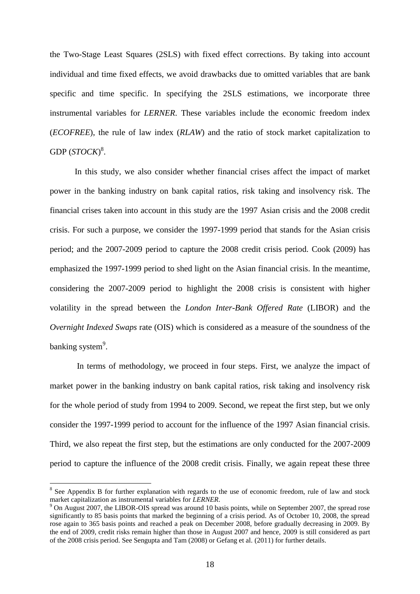the Two-Stage Least Squares (2SLS) with fixed effect corrections. By taking into account individual and time fixed effects, we avoid drawbacks due to omitted variables that are bank specific and time specific. In specifying the 2SLS estimations, we incorporate three instrumental variables for *LERNER*. These variables include the economic freedom index (*ECOFREE*), the rule of law index (*RLAW*) and the ratio of stock market capitalization to GDP  $(STOCK)^8$ .

 In this study, we also consider whether financial crises affect the impact of market power in the banking industry on bank capital ratios, risk taking and insolvency risk. The financial crises taken into account in this study are the 1997 Asian crisis and the 2008 credit crisis. For such a purpose, we consider the 1997-1999 period that stands for the Asian crisis period; and the 2007-2009 period to capture the 2008 credit crisis period. Cook (2009) has emphasized the 1997-1999 period to shed light on the Asian financial crisis. In the meantime, considering the 2007-2009 period to highlight the 2008 crisis is consistent with higher volatility in the spread between the *London Inter-Bank Offered Rate* (LIBOR) and the *Overnight Indexed Swaps* rate (OIS) which is considered as a measure of the soundness of the banking system<sup>9</sup>.

 In terms of methodology, we proceed in four steps. First, we analyze the impact of market power in the banking industry on bank capital ratios, risk taking and insolvency risk for the whole period of study from 1994 to 2009. Second, we repeat the first step, but we only consider the 1997-1999 period to account for the influence of the 1997 Asian financial crisis. Third, we also repeat the first step, but the estimations are only conducted for the 2007-2009 period to capture the influence of the 2008 credit crisis. Finally, we again repeat these three

 $\overline{a}$ 

<sup>&</sup>lt;sup>8</sup> See Appendix B for further explanation with regards to the use of economic freedom, rule of law and stock market capitalization as instrumental variables for *LERNER*.

<sup>&</sup>lt;sup>9</sup> On August 2007, the LIBOR-OIS spread was around 10 basis points, while on September 2007, the spread rose significantly to 85 basis points that marked the beginning of a crisis period. As of October 10, 2008, the spread rose again to 365 basis points and reached a peak on December 2008, before gradually decreasing in 2009. By the end of 2009, credit risks remain higher than those in August 2007 and hence, 2009 is still considered as part of the 2008 crisis period. See Sengupta and Tam (2008) or Gefang et al. (2011) for further details.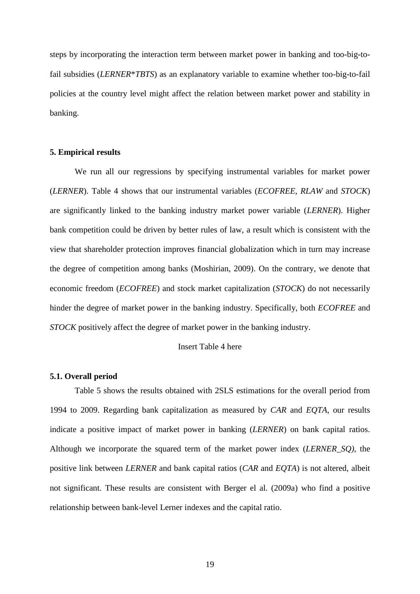steps by incorporating the interaction term between market power in banking and too-big-tofail subsidies (*LERNER*\**TBTS*) as an explanatory variable to examine whether too-big-to-fail policies at the country level might affect the relation between market power and stability in banking.

#### **5. Empirical results**

 We run all our regressions by specifying instrumental variables for market power (*LERNER*). Table 4 shows that our instrumental variables (*ECOFREE*, *RLAW* and *STOCK*) are significantly linked to the banking industry market power variable (*LERNER*). Higher bank competition could be driven by better rules of law, a result which is consistent with the view that shareholder protection improves financial globalization which in turn may increase the degree of competition among banks (Moshirian, 2009). On the contrary, we denote that economic freedom (*ECOFREE*) and stock market capitalization (*STOCK*) do not necessarily hinder the degree of market power in the banking industry. Specifically, both *ECOFREE* and *STOCK* positively affect the degree of market power in the banking industry.

## Insert Table 4 here

#### **5.1. Overall period**

 Table 5 shows the results obtained with 2SLS estimations for the overall period from 1994 to 2009. Regarding bank capitalization as measured by *CAR* and *EQTA*, our results indicate a positive impact of market power in banking (*LERNER*) on bank capital ratios. Although we incorporate the squared term of the market power index (*LERNER\_SQ)*, the positive link between *LERNER* and bank capital ratios (*CAR* and *EQTA*) is not altered, albeit not significant. These results are consistent with Berger el al. (2009a) who find a positive relationship between bank-level Lerner indexes and the capital ratio.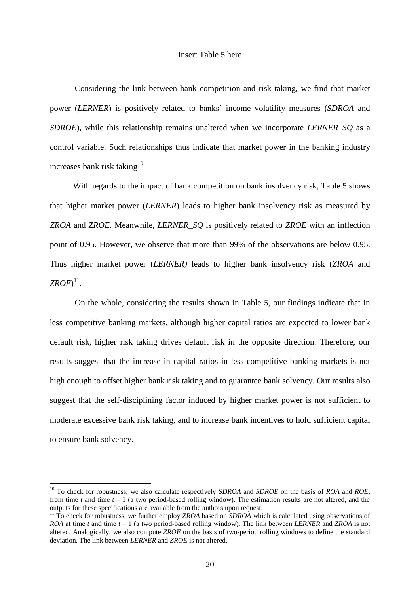#### Insert Table 5 here

 Considering the link between bank competition and risk taking, we find that market power (*LERNER*) is positively related to banks" income volatility measures (*SDROA* and *SDROE*), while this relationship remains unaltered when we incorporate *LERNER\_SQ* as a control variable. Such relationships thus indicate that market power in the banking industry increases bank risk taking $^{10}$ .

With regards to the impact of bank competition on bank insolvency risk, Table 5 shows that higher market power (*LERNER*) leads to higher bank insolvency risk as measured by *ZROA* and *ZROE*. Meanwhile, *LERNER\_SQ* is positively related to *ZROE* with an inflection point of 0.95. However, we observe that more than 99% of the observations are below 0.95. Thus higher market power (*LERNER)* leads to higher bank insolvency risk (*ZROA* and  $ZROE$ <sup>11</sup>.

 On the whole, considering the results shown in Table 5, our findings indicate that in less competitive banking markets, although higher capital ratios are expected to lower bank default risk, higher risk taking drives default risk in the opposite direction. Therefore, our results suggest that the increase in capital ratios in less competitive banking markets is not high enough to offset higher bank risk taking and to guarantee bank solvency. Our results also suggest that the self-disciplining factor induced by higher market power is not sufficient to moderate excessive bank risk taking, and to increase bank incentives to hold sufficient capital to ensure bank solvency.

 $\overline{a}$ 

<sup>10</sup> To check for robustness, we also calculate respectively *SDROA* and *SDROE* on the basis of *ROA* and *ROE*, from time  $t$  and time  $t - 1$  (a two period-based rolling window). The estimation results are not altered, and the outputs for these specifications are available from the authors upon request.

<sup>11</sup> To check for robustness, we further employ *ZROA* based on *SDROA* which is calculated using observations of *ROA* at time *t* and time *t* – 1 (a two period-based rolling window). The link between *LERNER* and *ZROA* is not altered. Analogically, we also compute *ZROE* on the basis of two-period rolling windows to define the standard deviation. The link between *LERNER* and *ZROE* is not altered.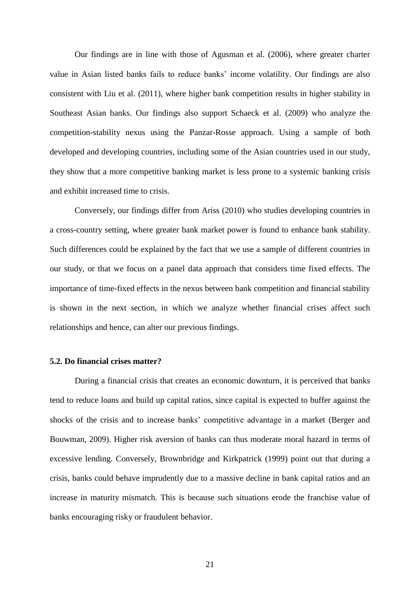Our findings are in line with those of Agusman et al. (2006), where greater charter value in Asian listed banks fails to reduce banks" income volatility. Our findings are also consistent with Liu et al. (2011), where higher bank competition results in higher stability in Southeast Asian banks. Our findings also support Schaeck et al. (2009) who analyze the competition-stability nexus using the Panzar-Rosse approach. Using a sample of both developed and developing countries, including some of the Asian countries used in our study, they show that a more competitive banking market is less prone to a systemic banking crisis and exhibit increased time to crisis.

Conversely, our findings differ from Ariss (2010) who studies developing countries in a cross-country setting, where greater bank market power is found to enhance bank stability. Such differences could be explained by the fact that we use a sample of different countries in our study, or that we focus on a panel data approach that considers time fixed effects. The importance of time-fixed effects in the nexus between bank competition and financial stability is shown in the next section, in which we analyze whether financial crises affect such relationships and hence, can alter our previous findings.

#### **5.2. Do financial crises matter?**

 During a financial crisis that creates an economic downturn, it is perceived that banks tend to reduce loans and build up capital ratios, since capital is expected to buffer against the shocks of the crisis and to increase banks" competitive advantage in a market (Berger and Bouwman, 2009). Higher risk aversion of banks can thus moderate moral hazard in terms of excessive lending. Conversely, Brownbridge and Kirkpatrick (1999) point out that during a crisis, banks could behave imprudently due to a massive decline in bank capital ratios and an increase in maturity mismatch. This is because such situations erode the franchise value of banks encouraging risky or fraudulent behavior.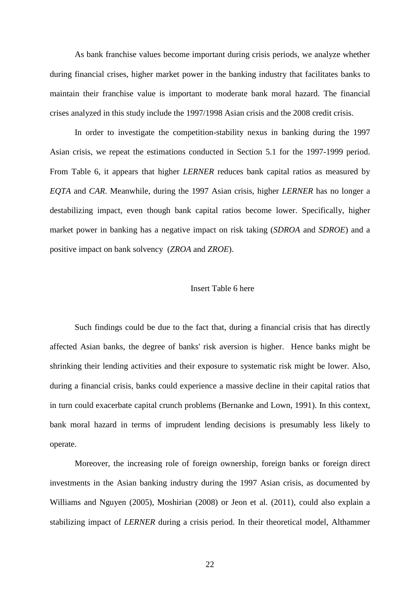As bank franchise values become important during crisis periods, we analyze whether during financial crises, higher market power in the banking industry that facilitates banks to maintain their franchise value is important to moderate bank moral hazard. The financial crises analyzed in this study include the 1997/1998 Asian crisis and the 2008 credit crisis.

In order to investigate the competition-stability nexus in banking during the 1997 Asian crisis, we repeat the estimations conducted in Section 5.1 for the 1997-1999 period. From Table 6, it appears that higher *LERNER* reduces bank capital ratios as measured by *EQTA* and *CAR*. Meanwhile, during the 1997 Asian crisis, higher *LERNER* has no longer a destabilizing impact, even though bank capital ratios become lower. Specifically, higher market power in banking has a negative impact on risk taking (*SDROA* and *SDROE*) and a positive impact on bank solvency (*ZROA* and *ZROE*).

#### Insert Table 6 here

Such findings could be due to the fact that, during a financial crisis that has directly affected Asian banks, the degree of banks' risk aversion is higher. Hence banks might be shrinking their lending activities and their exposure to systematic risk might be lower. Also, during a financial crisis, banks could experience a massive decline in their capital ratios that in turn could exacerbate capital crunch problems (Bernanke and Lown, 1991). In this context, bank moral hazard in terms of imprudent lending decisions is presumably less likely to operate.

Moreover, the increasing role of foreign ownership, foreign banks or foreign direct investments in the Asian banking industry during the 1997 Asian crisis, as documented by Williams and Nguyen (2005), Moshirian (2008) or Jeon et al. (2011), could also explain a stabilizing impact of *LERNER* during a crisis period. In their theoretical model, Althammer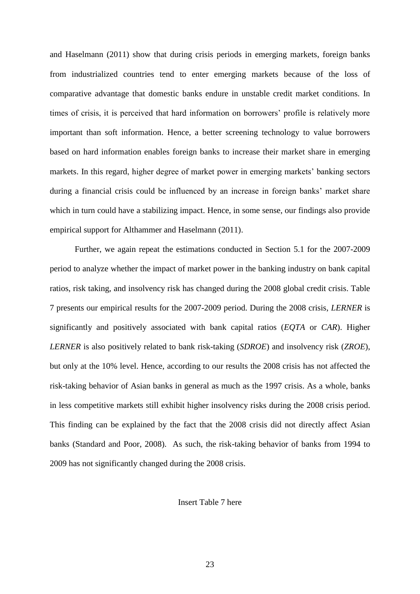and Haselmann (2011) show that during crisis periods in emerging markets, foreign banks from industrialized countries tend to enter emerging markets because of the loss of comparative advantage that domestic banks endure in unstable credit market conditions. In times of crisis, it is perceived that hard information on borrowers' profile is relatively more important than soft information. Hence, a better screening technology to value borrowers based on hard information enables foreign banks to increase their market share in emerging markets. In this regard, higher degree of market power in emerging markets' banking sectors during a financial crisis could be influenced by an increase in foreign banks' market share which in turn could have a stabilizing impact. Hence, in some sense, our findings also provide empirical support for Althammer and Haselmann (2011).

Further, we again repeat the estimations conducted in Section 5.1 for the 2007-2009 period to analyze whether the impact of market power in the banking industry on bank capital ratios, risk taking, and insolvency risk has changed during the 2008 global credit crisis. Table 7 presents our empirical results for the 2007-2009 period. During the 2008 crisis, *LERNER* is significantly and positively associated with bank capital ratios (*EQTA* or *CAR*). Higher *LERNER* is also positively related to bank risk-taking (*SDROE*) and insolvency risk (*ZROE*), but only at the 10% level. Hence, according to our results the 2008 crisis has not affected the risk-taking behavior of Asian banks in general as much as the 1997 crisis. As a whole, banks in less competitive markets still exhibit higher insolvency risks during the 2008 crisis period. This finding can be explained by the fact that the 2008 crisis did not directly affect Asian banks (Standard and Poor, 2008). As such, the risk-taking behavior of banks from 1994 to 2009 has not significantly changed during the 2008 crisis.

Insert Table 7 here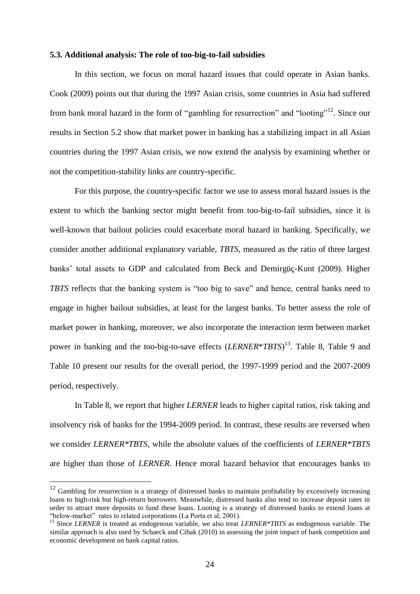### **5.3. Additional analysis: The role of too-big-to-fail subsidies**

 In this section, we focus on moral hazard issues that could operate in Asian banks. Cook (2009) points out that during the 1997 Asian crisis, some countries in Asia had suffered from bank moral hazard in the form of "gambling for resurrection" and "looting"<sup>12</sup>. Since our results in Section 5.2 show that market power in banking has a stabilizing impact in all Asian countries during the 1997 Asian crisis, we now extend the analysis by examining whether or not the competition-stability links are country-specific.

 For this purpose, the country-specific factor we use to assess moral hazard issues is the extent to which the banking sector might benefit from too-big-to-fail subsidies, since it is well-known that bailout policies could exacerbate moral hazard in banking. Specifically, we consider another additional explanatory variable, *TBTS*, measured as the ratio of three largest banks" total assets to GDP and calculated from Beck and Demirgüç-Kunt (2009). Higher *TBTS* reflects that the banking system is "too big to save" and hence, central banks need to engage in higher bailout subsidies, at least for the largest banks. To better assess the role of market power in banking, moreover, we also incorporate the interaction term between market power in banking and the too-big-to-save effects (*LERNER*\**TBTS*) <sup>13</sup>. Table 8, Table 9 and Table 10 present our results for the overall period, the 1997-1999 period and the 2007-2009 period, respectively.

 In Table 8, we report that higher *LERNER* leads to higher capital ratios, risk taking and insolvency risk of banks for the 1994-2009 period. In contrast, these results are reversed when we consider *LERNER\*TBTS*, while the absolute values of the coefficients of *LERNER\*TBTS* are higher than those of *LERNER*. Hence moral hazard behavior that encourages banks to

 $\overline{a}$ 

 $12$  Gambling for resurrection is a strategy of distressed banks to maintain profitability by excessively increasing loans to high-risk but high-return borrowers. Meanwhile, distressed banks also tend to increase deposit rates in order to attract more deposits to fund these loans. Looting is a strategy of distressed banks to extend loans at "below-market" rates to related corporations (La Porta et al, 2001).

<sup>&</sup>lt;sup>13</sup> Since *LERNER* is treated as endogenous variable, we also treat *LERNER\*TBTS* as endogenous variable. The similar approach is also used by Schaeck and Cihak (2010) in assessing the joint impact of bank competition and economic development on bank capital ratios.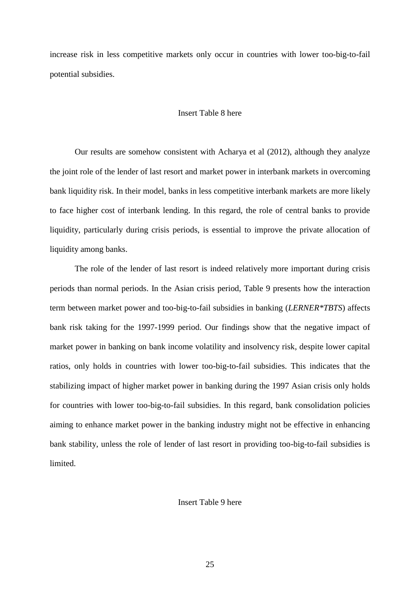increase risk in less competitive markets only occur in countries with lower too-big-to-fail potential subsidies.

# Insert Table 8 here

 Our results are somehow consistent with Acharya et al (2012), although they analyze the joint role of the lender of last resort and market power in interbank markets in overcoming bank liquidity risk. In their model, banks in less competitive interbank markets are more likely to face higher cost of interbank lending. In this regard, the role of central banks to provide liquidity, particularly during crisis periods, is essential to improve the private allocation of liquidity among banks.

 The role of the lender of last resort is indeed relatively more important during crisis periods than normal periods. In the Asian crisis period, Table 9 presents how the interaction term between market power and too-big-to-fail subsidies in banking (*LERNER\*TBTS*) affects bank risk taking for the 1997-1999 period. Our findings show that the negative impact of market power in banking on bank income volatility and insolvency risk, despite lower capital ratios, only holds in countries with lower too-big-to-fail subsidies. This indicates that the stabilizing impact of higher market power in banking during the 1997 Asian crisis only holds for countries with lower too-big-to-fail subsidies. In this regard, bank consolidation policies aiming to enhance market power in the banking industry might not be effective in enhancing bank stability, unless the role of lender of last resort in providing too-big-to-fail subsidies is limited.

## Insert Table 9 here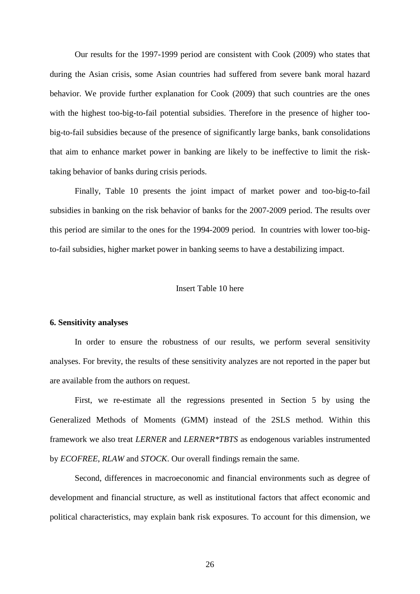Our results for the 1997-1999 period are consistent with Cook (2009) who states that during the Asian crisis, some Asian countries had suffered from severe bank moral hazard behavior. We provide further explanation for Cook (2009) that such countries are the ones with the highest too-big-to-fail potential subsidies. Therefore in the presence of higher toobig-to-fail subsidies because of the presence of significantly large banks, bank consolidations that aim to enhance market power in banking are likely to be ineffective to limit the risktaking behavior of banks during crisis periods.

 Finally, Table 10 presents the joint impact of market power and too-big-to-fail subsidies in banking on the risk behavior of banks for the 2007-2009 period. The results over this period are similar to the ones for the 1994-2009 period. In countries with lower too-bigto-fail subsidies, higher market power in banking seems to have a destabilizing impact.

#### Insert Table 10 here

#### **6. Sensitivity analyses**

 In order to ensure the robustness of our results, we perform several sensitivity analyses. For brevity, the results of these sensitivity analyzes are not reported in the paper but are available from the authors on request.

 First, we re-estimate all the regressions presented in Section 5 by using the Generalized Methods of Moments (GMM) instead of the 2SLS method. Within this framework we also treat *LERNER* and *LERNER\*TBTS* as endogenous variables instrumented by *ECOFREE*, *RLAW* and *STOCK*. Our overall findings remain the same.

 Second, differences in macroeconomic and financial environments such as degree of development and financial structure, as well as institutional factors that affect economic and political characteristics, may explain bank risk exposures. To account for this dimension, we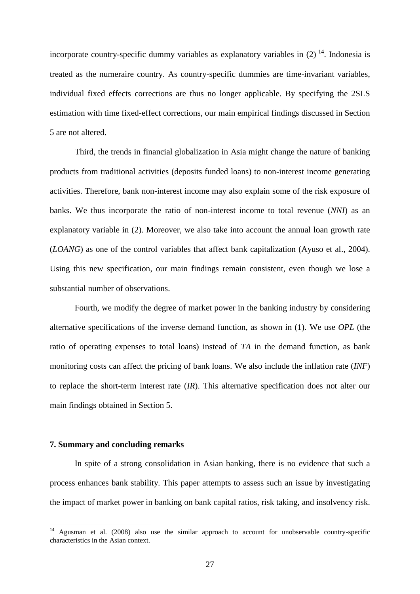incorporate country-specific dummy variables as explanatory variables in  $(2)$  <sup>14</sup>. Indonesia is treated as the numeraire country. As country-specific dummies are time-invariant variables, individual fixed effects corrections are thus no longer applicable. By specifying the 2SLS estimation with time fixed-effect corrections, our main empirical findings discussed in Section 5 are not altered.

Third, the trends in financial globalization in Asia might change the nature of banking products from traditional activities (deposits funded loans) to non-interest income generating activities. Therefore, bank non-interest income may also explain some of the risk exposure of banks. We thus incorporate the ratio of non-interest income to total revenue (*NNI*) as an explanatory variable in (2). Moreover, we also take into account the annual loan growth rate (*LOANG*) as one of the control variables that affect bank capitalization (Ayuso et al., 2004). Using this new specification, our main findings remain consistent, even though we lose a substantial number of observations.

Fourth, we modify the degree of market power in the banking industry by considering alternative specifications of the inverse demand function, as shown in (1). We use *OPL* (the ratio of operating expenses to total loans) instead of *TA* in the demand function, as bank monitoring costs can affect the pricing of bank loans. We also include the inflation rate (*INF*) to replace the short-term interest rate (*IR*). This alternative specification does not alter our main findings obtained in Section 5.

# **7. Summary and concluding remarks**

 $\overline{a}$ 

 In spite of a strong consolidation in Asian banking, there is no evidence that such a process enhances bank stability. This paper attempts to assess such an issue by investigating the impact of market power in banking on bank capital ratios, risk taking, and insolvency risk.

Agusman et al. (2008) also use the similar approach to account for unobservable country-specific characteristics in the Asian context.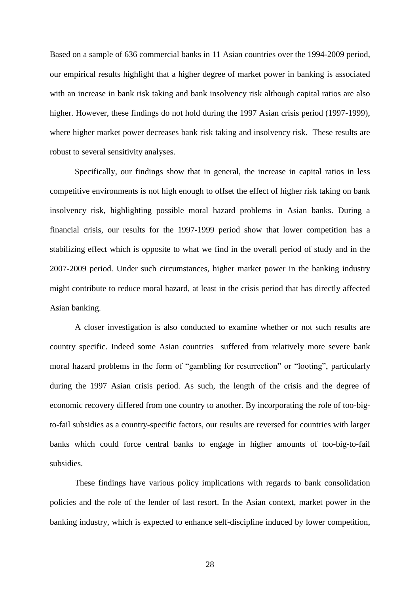Based on a sample of 636 commercial banks in 11 Asian countries over the 1994-2009 period, our empirical results highlight that a higher degree of market power in banking is associated with an increase in bank risk taking and bank insolvency risk although capital ratios are also higher. However, these findings do not hold during the 1997 Asian crisis period (1997-1999), where higher market power decreases bank risk taking and insolvency risk. These results are robust to several sensitivity analyses.

Specifically, our findings show that in general, the increase in capital ratios in less competitive environments is not high enough to offset the effect of higher risk taking on bank insolvency risk, highlighting possible moral hazard problems in Asian banks. During a financial crisis, our results for the 1997-1999 period show that lower competition has a stabilizing effect which is opposite to what we find in the overall period of study and in the 2007-2009 period. Under such circumstances, higher market power in the banking industry might contribute to reduce moral hazard, at least in the crisis period that has directly affected Asian banking.

A closer investigation is also conducted to examine whether or not such results are country specific. Indeed some Asian countries suffered from relatively more severe bank moral hazard problems in the form of "gambling for resurrection" or "looting", particularly during the 1997 Asian crisis period. As such, the length of the crisis and the degree of economic recovery differed from one country to another. By incorporating the role of too-bigto-fail subsidies as a country-specific factors, our results are reversed for countries with larger banks which could force central banks to engage in higher amounts of too-big-to-fail subsidies.

 These findings have various policy implications with regards to bank consolidation policies and the role of the lender of last resort. In the Asian context, market power in the banking industry, which is expected to enhance self-discipline induced by lower competition,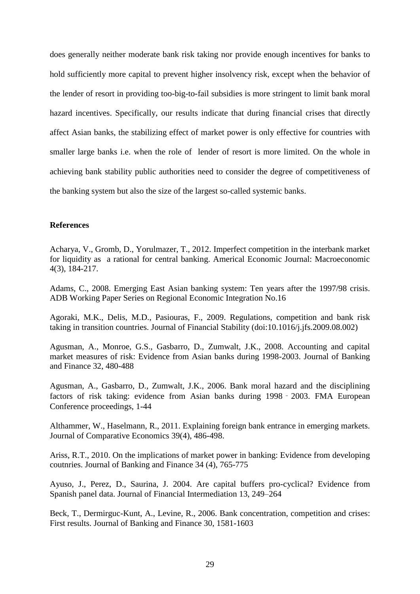does generally neither moderate bank risk taking nor provide enough incentives for banks to hold sufficiently more capital to prevent higher insolvency risk, except when the behavior of the lender of resort in providing too-big-to-fail subsidies is more stringent to limit bank moral hazard incentives. Specifically, our results indicate that during financial crises that directly affect Asian banks, the stabilizing effect of market power is only effective for countries with smaller large banks i.e. when the role of lender of resort is more limited. On the whole in achieving bank stability public authorities need to consider the degree of competitiveness of the banking system but also the size of the largest so-called systemic banks.

# **References**

Acharya, V., Gromb, D., Yorulmazer, T., 2012. Imperfect competition in the interbank market for liquidity as a rational for central banking. Americal Economic Journal: Macroeconomic 4(3), 184-217.

Adams, C., 2008. Emerging East Asian banking system: Ten years after the 1997/98 crisis. ADB Working Paper Series on Regional Economic Integration No.16

Agoraki, M.K., Delis, M.D., Pasiouras, F., 2009. Regulations, competition and bank risk taking in transition countries. Journal of Financial Stability [\(doi:10.1016/j.jfs.2009.08.002\)](http://dx.doi.org/10.1016/j.jfs.2009.08.002)

Agusman, A., Monroe, G.S., Gasbarro, D., Zumwalt, J.K., 2008. Accounting and capital market measures of risk: Evidence from Asian banks during 1998-2003. Journal of Banking and Finance 32, 480-488

Agusman, A., Gasbarro, D., Zumwalt, J.K., 2006. Bank moral hazard and the disciplining factors of risk taking: evidence from Asian banks during 1998‐2003. FMA European Conference proceedings, 1-44

Althammer, W., Haselmann, R., 2011. Explaining foreign bank entrance in emerging markets. Journal of Comparative Economics 39(4), 486-498.

Ariss, R.T., 2010. On the implications of market power in banking: Evidence from developing coutnries. Journal of Banking and Finance 34 (4), 765-775

Ayuso, J., Perez, D., Saurina, J. 2004. Are capital buffers pro-cyclical? Evidence from Spanish panel data. Journal of Financial Intermediation 13, 249–264

Beck, T., Dermirguc-Kunt, A., Levine, R., 2006. Bank concentration, competition and crises: First results. Journal of Banking and Finance 30, 1581-1603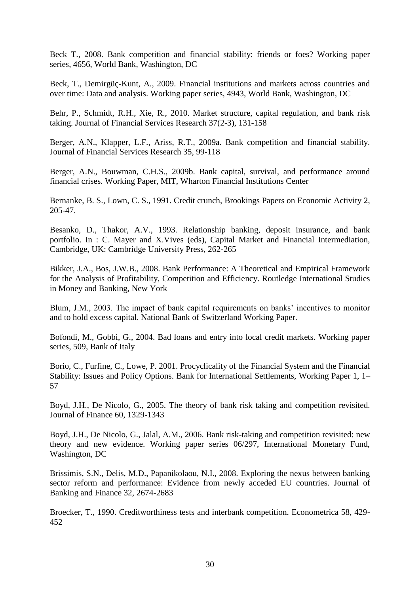Beck T., 2008. Bank competition and financial stability: friends or foes? Working paper series, 4656, World Bank, Washington, DC

Beck, T., Demirgüç-Kunt, A., 2009. [Financial institutions and markets across countries and](http://siteresources.worldbank.org/INTRES/Resources/469232-1107449512766/Financial_Institutions_and_Markets_across_Countries.pdf)  [over time: Data and analysis.](http://siteresources.worldbank.org/INTRES/Resources/469232-1107449512766/Financial_Institutions_and_Markets_across_Countries.pdf) Working paper series, 4943, World Bank, Washington, DC

Behr, P., Schmidt, R.H., Xie, R., 2010. Market structure, capital regulation, and bank risk taking. Journal of Financial Services Research [37\(2-3\)](http://www.springerlink.com/content/0920-8550/37/2-3/), 131-158

Berger, A.N., Klapper, L.F., Ariss, R.T., 2009a. Bank competition and financial stability. Journal of Financial Services Research 35, 99-118

Berger, A.N., Bouwman, C.H.S., 2009b. Bank capital, survival, and performance around financial crises. Working Paper, MIT, Wharton Financial Institutions Center

Bernanke, B. S., Lown, C. S., 1991. Credit crunch, Brookings Papers on Economic Activity 2, 205-47.

Besanko, D., Thakor, A.V., 1993. Relationship banking, deposit insurance, and bank portfolio. In : C. Mayer and X.Vives (eds), Capital Market and Financial Intermediation, Cambridge, UK: Cambridge University Press, 262-265

Bikker, J.A., Bos, J.W.B., 2008. Bank Performance: A Theoretical and Empirical Framework for the Analysis of Profitability, Competition and Efficiency. Routledge International Studies in Money and Banking, New York

Blum, J.M., 2003. The impact of bank capital requirements on banks' incentives to monitor and to hold excess capital. National Bank of Switzerland Working Paper.

Bofondi, M., Gobbi, G., 2004. Bad loans and entry into local credit markets. Working paper series, 509, Bank of Italy

Borio, C., Furfine, C., Lowe, P. 2001. Procyclicality of the Financial System and the Financial Stability: Issues and Policy Options. Bank for International Settlements, Working Paper 1, 1– 57

Boyd, J.H., De Nicolo, G., 2005. The theory of bank risk taking and competition revisited. Journal of Finance 60, 1329-1343

Boyd, J.H., De Nicolo, G., Jalal, A.M., 2006. Bank risk-taking and competition revisited: new theory and new evidence. Working paper series 06/297, International Monetary Fund, Washington, DC

Brissimis, S.N., Delis, M.D., Papanikolaou, N.I., 2008. Exploring the nexus between banking sector reform and performance: Evidence from newly acceded EU countries. Journal of Banking and Finance 32, 2674-2683

Broecker, T., 1990. Creditworthiness tests and interbank competition. Econometrica 58, 429- 452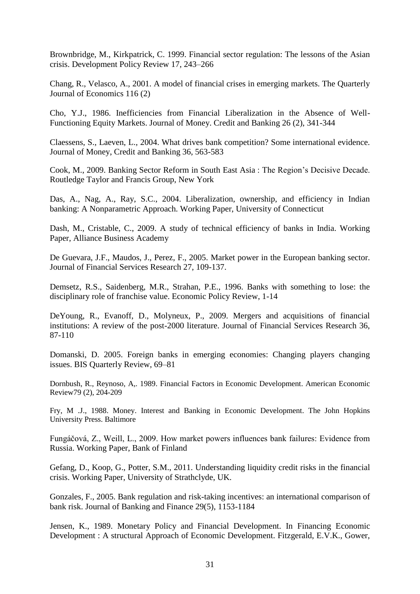Brownbridge, M., Kirkpatrick, C. 1999. Financial sector regulation: The lessons of the Asian crisis. Development Policy Review 17, 243–266

Chang, R., Velasco, A., 2001. A model of financial crises in emerging markets. The Quarterly Journal of Economics 116 (2)

Cho, Y.J., 1986. Inefficiencies from Financial Liberalization in the Absence of Well-Functioning Equity Markets. Journal of Money. Credit and Banking 26 (2), 341-344

Claessens, S., Laeven, L., 2004. What drives bank competition? Some international evidence. Journal of Money, Credit and Banking 36, 563-583

Cook, M., 2009. Banking Sector Reform in South East Asia : The Region"s Decisive Decade. Routledge Taylor and Francis Group, New York

Das, A., Nag, A., Ray, S.C., 2004. Liberalization, ownership, and efficiency in Indian banking: A Nonparametric Approach. Working Paper, University of Connecticut

Dash, M., Cristable, C., 2009. A study of technical efficiency of banks in India. Working Paper, Alliance Business Academy

De Guevara, J.F., Maudos, J., Perez, F., 2005. Market power in the European banking sector. Journal of Financial Services Research 27, 109-137.

Demsetz, R.S., Saidenberg, M.R., Strahan, P.E., 1996. Banks with something to lose: the disciplinary role of franchise value. Economic Policy Review, 1-14

DeYoung, R., Evanoff, D., Molyneux, P., 2009. Mergers and acquisitions of financial institutions: A review of the post-2000 literature. Journal of Financial Services Research 36, 87-110

Domanski, D. 2005. Foreign banks in emerging economies: Changing players changing issues. BIS Quarterly Review, 69–81

Dornbush, R., Reynoso, A,. 1989. Financial Factors in Economic Development. American Economic Review79 (2), 204-209

Fry, M .J., 1988. Money. Interest and Banking in Economic Development. The John Hopkins University Press. Baltimore

Fungáčová, Z., Weill, L., 2009. How market powers influences bank failures: Evidence from Russia. Working Paper, Bank of Finland

Gefang, D., Koop, G., Potter, S.M., 2011. Understanding liquidity credit risks in the financial crisis. Working Paper, University of Strathclyde, UK.

Gonzales, F., 2005. Bank regulation and risk-taking incentives: an international comparison of bank risk. Journal of Banking and Finance 29(5), 1153-1184

Jensen, K., 1989. Monetary Policy and Financial Development. In Financing Economic Development : A structural Approach of Economic Development. Fitzgerald, E.V.K., Gower,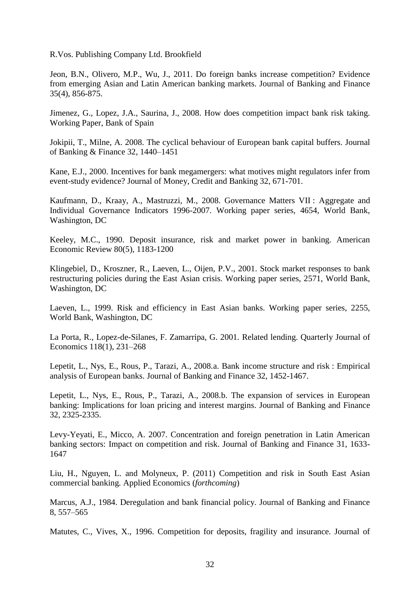R.Vos. Publishing Company Ltd. Brookfield

Jeon, B.N., Olivero, M.P., Wu, J., 2011. Do foreign banks increase competition? Evidence from emerging Asian and Latin American banking markets. Journal of Banking and Finance 35(4), 856-875.

Jimenez, G., Lopez, J.A., Saurina, J., 2008. How does competition impact bank risk taking. Working Paper, Bank of Spain

Jokipii, T., Milne, A. 2008. The cyclical behaviour of European bank capital buffers. Journal of Banking & Finance 32, 1440–1451

Kane, E.J., 2000. Incentives for bank megamergers: what motives might regulators infer from event-study evidence? Journal of Money, Credit and Banking 32, 671-701.

Kaufmann, D., Kraay, A., Mastruzzi, M., 2008. Governance Matters VII : Aggregate and Individual Governance Indicators 1996-2007. Working paper series, 4654, World Bank, Washington, DC

Keeley, M.C., 1990. Deposit insurance, risk and market power in banking. American Economic Review 80(5), 1183-1200

Klingebiel, D., Kroszner, R., Laeven, L., Oijen, P.V., 2001. Stock market responses to bank restructuring policies during the East Asian crisis. Working paper series, 2571, World Bank, Washington, DC

Laeven, L., 1999. Risk and efficiency in East Asian banks. Working paper series, 2255, World Bank, Washington, DC

La Porta, R., Lopez-de-Silanes, F. Zamarripa, G. 2001. Related lending. Quarterly Journal of Economics 118(1), 231–268

Lepetit, L., Nys, E., Rous, P., Tarazi, A., 2008.a. Bank income structure and risk : Empirical analysis of European banks. Journal of Banking and Finance 32, 1452-1467.

Lepetit, L., Nys, E., Rous, P., Tarazi, A., 2008.b. The expansion of services in European banking: Implications for loan pricing and interest margins. Journal of Banking and Finance 32, 2325-2335.

Levy-Yeyati, E., Micco, A. 2007. Concentration and foreign penetration in Latin American banking sectors: Impact on competition and risk. Journal of Banking and Finance 31, 1633- 1647

[Liu, H.,](http://eprints.gla.ac.uk/view/author/15609.html) Nguyen, L. and Molyneux, P. (2011) Competition and risk in South East Asian commercial banking*.* [Applied Economics](http://eprints.gla.ac.uk/view/journal_volume/Applied_Economics.html) (*forthcoming*)

Marcus, A.J., 1984. Deregulation and bank financial policy. Journal of Banking and Finance 8, 557–565

Matutes, C., Vives, X., 1996. Competition for deposits, fragility and insurance. Journal of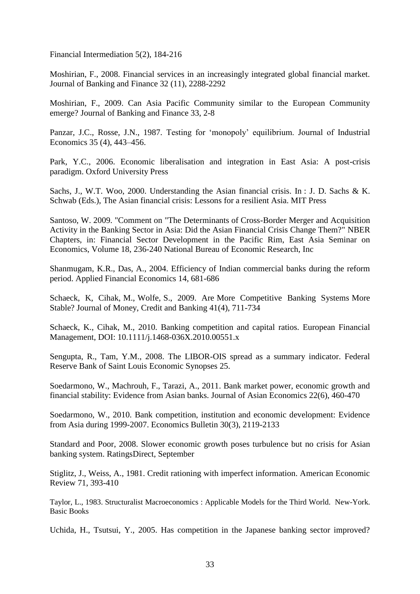Financial Intermediation 5(2), 184-216

Moshirian, F., 2008. Financial services in an increasingly integrated global financial market. Journal of Banking and Finance 32 (11), 2288-2292

Moshirian, F., 2009. Can Asia Pacific Community similar to the European Community emerge? Journal of Banking and Finance 33, 2-8

Panzar, J.C., Rosse, J.N., 1987. Testing for 'monopoly' equilibrium. Journal of Industrial Economics 35 (4), 443–456.

Park, Y.C., 2006. Economic liberalisation and integration in East Asia: A post-crisis paradigm. Oxford University Press

Sachs, J., W.T. Woo, 2000. Understanding the Asian financial crisis. In : J. D. Sachs & K. Schwab (Eds.), The Asian financial crisis: Lessons for a resilient Asia. MIT Press

Santoso, W. 2009. "Comment on "The Determinants of Cross-Border Merger and Acquisition Activity in the Banking Sector in Asia: Did the Asian Financial Crisis Change Them?" NBER Chapters, in: Financial Sector Development in the Pacific Rim, East Asia Seminar on Economics, Volume 18, 236-240 National Bureau of Economic Research, Inc

Shanmugam, K.R., Das, A., 2004. Efficiency of Indian commercial banks during the reform period. Applied Financial Economics 14, 681-686

Schaeck, K, Cihak, M., Wolfe, S., 2009. Are More Competitive Banking Systems More Stable? Journal of Money, Credit and Banking 41(4), 711-734

Schaeck, K., Cihak, M., 2010. Banking competition and capital ratios. European Financial Management, DOI: 10.1111/j.1468-036X.2010.00551.x

Sengupta, R., Tam, Y.M., 2008. The LIBOR-OIS spread as a summary indicator. Federal Reserve Bank of Saint Louis Economic Synopses 25.

Soedarmono, W., Machrouh, F., Tarazi, A., 2011. Bank market power, economic growth and financial stability: Evidence from Asian banks. Journal of Asian Economics 22(6), 460-470

Soedarmono, W., 2010. Bank competition, institution and economic development: Evidence from Asia during 1999-2007. Economics Bulletin 30(3), 2119-2133

Standard and Poor, 2008. Slower economic growth poses turbulence but no crisis for Asian banking system. RatingsDirect, September

Stiglitz, J., Weiss, A., 1981. Credit rationing with imperfect information. American Economic Review 71, 393-410

Taylor, L., 1983. Structuralist Macroeconomics : Applicable Models for the Third World. New-York. Basic Books

Uchida, H., Tsutsui, Y., 2005. Has competition in the Japanese banking sector improved?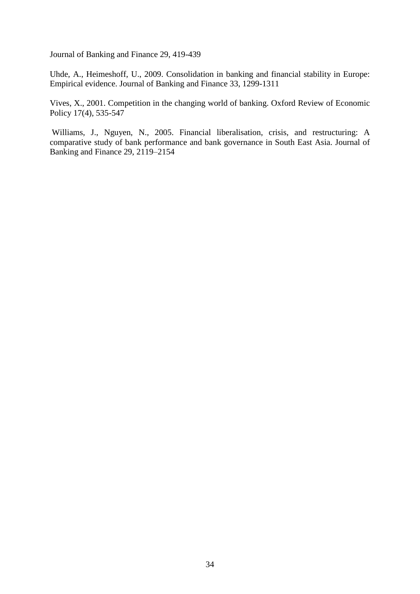Journal of Banking and Finance 29, 419-439

Uhde, A., Heimeshoff, U., 2009. Consolidation in banking and financial stability in Europe: Empirical evidence. Journal of Banking and Finance 33, 1299-1311

Vives, X., 2001. Competition in the changing world of banking. Oxford Review of Economic Policy 17(4), 535-547

 Williams, J., Nguyen, N., 2005. Financial liberalisation, crisis, and restructuring: A comparative study of bank performance and bank governance in South East Asia. Journal of Banking and Finance 29, 2119–2154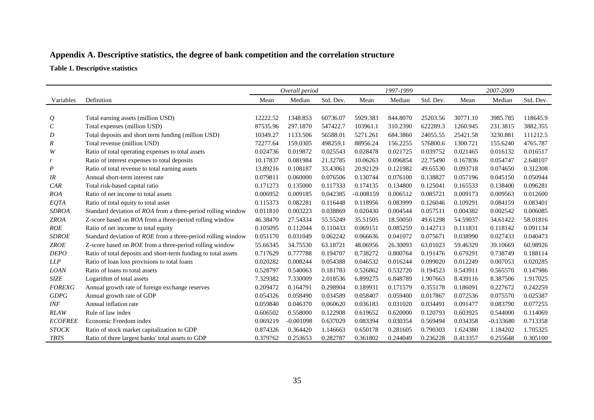# **Appendix A. Descriptive statistics, the degree of bank competition and the correlation structure**

**Table 1. Descriptive statistics** 

|                |                                                                |          | Overall period |           |             | 1997-1999 |           |          | 2007-2009   |           |
|----------------|----------------------------------------------------------------|----------|----------------|-----------|-------------|-----------|-----------|----------|-------------|-----------|
| Variables      | Definition                                                     | Mean     | Median         | Std. Dev. | Mean        | Median    | Std. Dev. | Mean     | Median      | Std. Dev. |
|                |                                                                |          |                |           |             |           |           |          |             |           |
| $\varrho$      | Total earning assets (million USD)                             | 12222.52 | 1348.853       | 60736.07  | 5929.383    | 844.8070  | 25203.56  | 30771.10 | 3985.785    | 118645.9  |
| $\,c\,$        | Total expenses (million USD)                                   | 87535.96 | 297.1870       | 547422.7  | 103961.1    | 310.2390  | 622289.3  | 1260.945 | 231.3815    | 3882.355  |
| D              | Total deposits and short term funding (million USD)            | 10349.27 | 1133.506       | 56588.01  | 5271.261    | 684.3860  | 24055.55  | 25421.58 | 3230.881    | 111212.5  |
| R              | Total revenue (million USD)                                    | 72277.64 | 159.0305       | 498259.1  | 88956.24    | 156.2255  | 576800.6  | 1300.721 | 155.6240    | 4765.787  |
| W              | Ratio of total operating expenses to total assets              | 0.024736 | 0.019872       | 0.025543  | 0.028478    | 0.021725  | 0.039752  | 0.021465 | 0.016132    | 0.016517  |
| r              | Ratio of interest expenses to total deposits                   | 10.17837 | 0.081984       | 21.32785  | 10.06263    | 0.096854  | 22.75490  | 0.167836 | 0.054747    | 2.648107  |
| P              | Ratio of total revenue to total earning assets                 | 13.89216 | 0.108187       | 33.43061  | 20.92129    | 0.121982  | 49.65530  | 0.093718 | 0.074650    | 0.312308  |
| IR             | Annual short-term interest rate                                | 0.079811 | 0.060000       | 0.076506  | 0.130744    | 0.076100  | 0.138827  | 0.057196 | 0.045150    | 0.050944  |
| CAR            | Total risk-based capital ratio                                 | 0.171273 | 0.135000       | 0.117333  | 0.174135    | 0.134800  | 0.125041  | 0.165533 | 0.138400    | 0.096281  |
| <b>ROA</b>     | Ratio of net income to total assets                            | 0.006952 | 0.009185       | 0.042385  | $-0.008159$ | 0.006512  | 0.085721  | 0.009173 | 0.009563    | 0.012600  |
| EQTA           | Ratio of total equity to total asset                           | 0.115373 | 0.082281       | 0.116448  | 0.118956    | 0.083999  | 0.126046  | 0.109291 | 0.084159    | 0.083401  |
| <b>SDROA</b>   | Standard deviation of ROA from a three-period rolling window   | 0.011810 | 0.003223       | 0.038869  | 0.020430    | 0.004544  | 0.057511  | 0.004382 | 0.002542    | 0.006085  |
| <b>ZROA</b>    | Z-score based on ROA from a three-period rolling window        | 46.38470 | 27.54334       | 55.55249  | 35.51505    | 18.50050  | 49.61298  | 54.59037 | 34.61422    | 58.01816  |
| ROE            | Ratio of net income to total equity                            | 0.105095 | 0.112044       | 0.110433  | 0.069151    | 0.085259  | 0.142713  | 0.111831 | 0.118142    | 0.091134  |
| <b>SDROE</b>   | Standard deviation of ROE from a three-period rolling window   | 0.051170 | 0.031049       | 0.062242  | 0.066636    | 0.041072  | 0.075671  | 0.038990 | 0.027433    | 0.040473  |
| <b>ZROE</b>    | Z-score based on ROE from a three-period rolling window        | 55.66345 | 34.75530       | 63.18721  | 48.06956    | 26.30093  | 63.01023  | 59.46329 | 39.10669    | 60.98926  |
| <b>DEPO</b>    | Ratio of total deposits and short-term funding to total assets | 0.717629 | 0.777788       | 0.194707  | 0.738272    | 0.800764  | 0.191476  | 0.679291 | 0.738749    | 0.188114  |
| LLP            | Ratio of loan loss provisions to total loans                   | 0.020282 | 0.008244       | 0.054388  | 0.046532    | 0.016244  | 0.099020  | 0.012249 | 0.007053    | 0.020285  |
| <b>LOAN</b>    | Ratio of loans to total assets                                 | 0.528797 | 0.540063       | 0.181783  | 0.526862    | 0.532720  | 0.194523  | 0.543911 | 0.565570    | 0.147986  |
| <b>SIZE</b>    | Logarithm of total assets                                      | 7.329382 | 7.330009       | 2.018536  | 6.899275    | 6.848789  | 1.907663  | 8.439116 | 8.387506    | 1.917025  |
| <b>FOREXG</b>  | Annual growth rate of foreign exchange reserves                | 0.209472 | 0.164791       | 0.298904  | 0.189931    | 0.171579  | 0.355178  | 0.186091 | 0.227672    | 0.242259  |
| <b>GDPG</b>    | Annual growth rate of GDP                                      | 0.054326 | 0.058490       | 0.034589  | 0.058407    | 0.059400  | 0.017867  | 0.072536 | 0.075570    | 0.025387  |
| INF            | Annual inflation rate                                          | 0.059840 | 0.046370       | 0.060620  | 0.036183    | 0.031020  | 0.034491  | 0.091477 | 0.083790    | 0.077255  |
| <b>RLAW</b>    | Rule of law index                                              | 0.606502 | 0.558000       | 0.122908  | 0.619652    | 0.620000  | 0.120793  | 0.603925 | 0.544000    | 0.114069  |
| <b>ECOFREE</b> | Economic Freedom index                                         | 0.069219 | $-0.001098$    | 0.637029  | 0.083394    | 0.030354  | 0.569494  | 0.034358 | $-0.133680$ | 0.713358  |
| <b>STOCK</b>   | Ratio of stock market capitalization to GDP                    | 0.874326 | 0.364420       | 1.146663  | 0.650178    | 0.281605  | 0.790303  | 1.624380 | 1.184202    | 1.705325  |
| <b>TBTS</b>    | Ratio of three largest banks' total assets to GDP              | 0.379762 | 0.253653       | 0.282787  | 0.361802    | 0.244049  | 0.236228  | 0.413357 | 0.255648    | 0.305100  |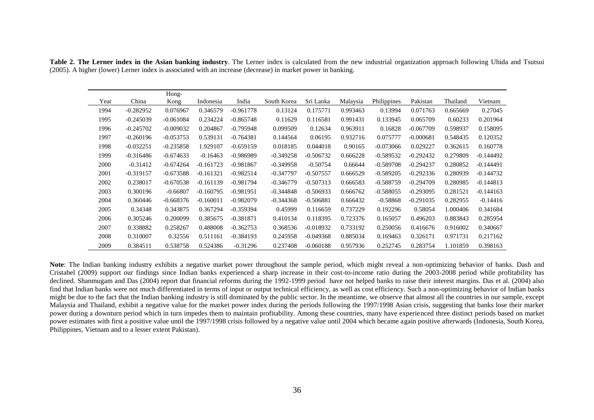|      |             | Hong-       |             |             |             |             |          |             |             |          |             |
|------|-------------|-------------|-------------|-------------|-------------|-------------|----------|-------------|-------------|----------|-------------|
| Year | China       | Kong        | Indonesia   | India       | South Korea | Sri Lanka   | Malaysia | Philippines | Pakistan    | Thailand | Vietnam     |
| 1994 | $-0.282952$ | 0.076967    | 0.346579    | $-0.961778$ | 0.13124     | 0.175771    | 0.993463 | 0.13994     | 0.071763    | 0.665669 | 0.27045     |
| 1995 | $-0.245039$ | $-0.061084$ | 0.234224    | $-0.865748$ | 0.11629     | 0.116581    | 0.991431 | 0.133945    | 0.065709    | 0.60233  | 0.201964    |
| 1996 | $-0.245702$ | $-0.009032$ | 0.204867    | $-0.795948$ | 0.099509    | 0.12634     | 0.963911 | 0.16828     | $-0.067709$ | 0.598937 | 0.158095    |
| 1997 | $-0.260196$ | $-0.053753$ | 0.539131    | $-0.764381$ | 0.144564    | 0.06195     | 0.932716 | 0.075777    | $-0.000681$ | 0.548435 | 0.120352    |
| 1998 | $-0.032251$ | $-0.235858$ | 1.929107    | $-0.659159$ | 0.018185    | 0.044018    | 0.90165  | $-0.073066$ | 0.029227    | 0.362615 | 0.160778    |
| 1999 | $-0.316486$ | $-0.674633$ | $-0.16463$  | $-0.986989$ | $-0.349258$ | $-0.506732$ | 0.666228 | $-0.589532$ | $-0.292432$ | 0.279809 | $-0.144492$ |
| 2000 | $-0.31412$  | $-0.674264$ | $-0.161723$ | $-0.981867$ | $-0.349958$ | $-0.50754$  | 0.66644  | $-0.589708$ | $-0.294237$ | 0.280852 | $-0.144491$ |
| 2001 | $-0.319157$ | $-0.673588$ | $-0.161321$ | $-0.982514$ | $-0.347797$ | $-0.507557$ | 0.666529 | $-0.589205$ | $-0.292336$ | 0.280939 | $-0.144732$ |
| 2002 | 0.238017    | $-0.670538$ | $-0.161139$ | $-0.981794$ | $-0.346779$ | $-0.507313$ | 0.666583 | $-0.588759$ | $-0.294709$ | 0.280985 | $-0.144813$ |
| 2003 | 0.300196    | $-0.66807$  | $-0.160795$ | $-0.981951$ | $-0.344848$ | $-0.506933$ | 0.666762 | $-0.588055$ | $-0.293095$ | 0.281521 | $-0.144163$ |
| 2004 | 0.360446    | $-0.668376$ | $-0.160011$ | $-0.982079$ | $-0.344368$ | $-0.506881$ | 0.666432 | $-0.58868$  | $-0.291035$ | 0.282955 | $-0.14416$  |
| 2005 | 0.34348     | 0.343875    | 0.367294    | $-0.359394$ | 0.45999     | 0.116659    | 0.737229 | 0.192296    | 0.58054     | 1.000406 | 0.341684    |
| 2006 | 0.305246    | 0.200099    | 0.385675    | $-0.381871$ | 0.410134    | 0.118395    | 0.723376 | 0.165057    | 0.496203    | 0.883843 | 0.285954    |
| 2007 | 0.338882    | 0.258267    | 0.488008    | $-0.362753$ | 0.368536    | $-0.018932$ | 0.733192 | 0.250056    | 0.416676    | 0.916002 | 0.340667    |
| 2008 | 0.310007    | 0.32556     | 0.511161    | $-0.384193$ | 0.245958    | $-0.049368$ | 0.885034 | 0.169463    | 0.326171    | 0.971731 | 0.217162    |
| 2009 | 0.384511    | 0.538758    | 0.524386    | $-0.31296$  | 0.237408    | $-0.060188$ | 0.957936 | 0.252745    | 0.283754    | 1.101859 | 0.398163    |

**Table 2. The Lerner index in the Asian banking industry**. The Lerner index is calculated from the new industrial organization approach following Uhida and Tsutsui (2005). A higher (lower) Lerner index is associated with an increase (decrease) in market power in banking.

Note: The Indian banking industry exhibits a negative market power throughout the sample period, which might reveal a non-optimizing behavior of banks. Dash and Cristabel (2009) support our findings since Indian banks experienced a sharp increase in their cost-to-income ratio during the 2003-2008 period while profitability has declined. Shanmugam and Das (2004) report that financial reforms during the 1992-1999 period have not helped banks to raise their interest margins. Das et al. (2004) also find that Indian banks were not much differentiated in terms of input or output technical efficiency, as well as cost efficiency. Such a non-optimizing behavior of Indian banks might be due to the fact that the Indian banking industry is still dominated by the public sector. In the meantime, we observe that almost all the countries in our sample, except Malaysia and Thailand, exhibit a negative value for the market power index during the periods following the 1997/1998 Asian crisis, suggesting that banks lose their market power during a downturn period which in turn impedes them to maintain profitability. Among these countries, many have experienced three distinct periods based on market power estimates with first a positive value until the 1997/1998 crisis followed by a negative value until 2004 which became again positive afterwards (Indonesia, South Korea, Philippines, Vietnam and to a lesser extent Pakistan).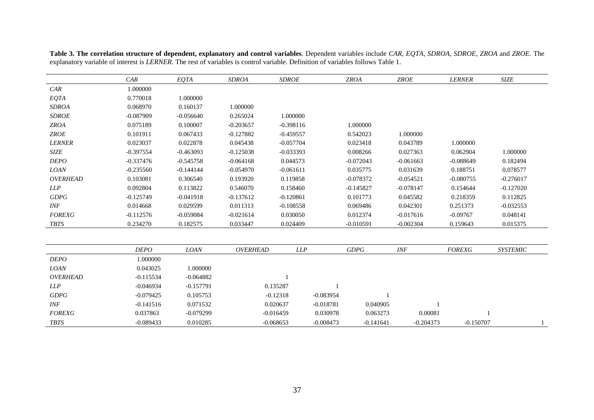|                 | CAR         | EQTA        | <b>SDROA</b> | <b>SDROE</b> |             | <b>ZROA</b> | ZROE        | <b>LERNER</b> | <b>SIZE</b>     |
|-----------------|-------------|-------------|--------------|--------------|-------------|-------------|-------------|---------------|-----------------|
| CAR             | 1.000000    |             |              |              |             |             |             |               |                 |
| EQTA            | 0.770018    | 1.000000    |              |              |             |             |             |               |                 |
| <b>SDROA</b>    | 0.068970    | 0.160137    | 1.000000     |              |             |             |             |               |                 |
| <b>SDROE</b>    | $-0.087909$ | $-0.056640$ | 0.265024     | 1.000000     |             |             |             |               |                 |
| <b>ZROA</b>     | 0.075189    | 0.100007    | $-0.203657$  | $-0.398116$  |             | 1.000000    |             |               |                 |
| ZROE            | 0.101911    | 0.067433    | $-0.127882$  | $-0.459557$  |             | 0.542023    | 1.000000    |               |                 |
| <b>LERNER</b>   | 0.023037    | 0.022878    | 0.045438     | $-0.057704$  |             | 0.023418    | 0.043789    | 1.000000      |                 |
| <b>SIZE</b>     | $-0.397554$ | $-0.463093$ | $-0.125038$  | $-0.033393$  |             | 0.008266    | 0.027363    | 0.062904      | 1.000000        |
| <b>DEPO</b>     | $-0.337476$ | $-0.545758$ | $-0.064168$  | 0.044573     |             | $-0.072043$ | $-0.061663$ | $-0.088649$   | 0.182494        |
| <b>LOAN</b>     | $-0.235560$ | $-0.144144$ | $-0.054970$  | $-0.061611$  |             | 0.035775    | 0.031639    | 0.188751      | 0.078577        |
| <b>OVERHEAD</b> | 0.103081    | 0.306540    | 0.193920     | 0.119858     |             | $-0.078372$ | $-0.054521$ | $-0.080755$   | $-0.276017$     |
| LLP             | 0.092804    | 0.113822    | 0.546070     | 0.158460     |             | $-0.145827$ | $-0.078147$ | 0.154644      | $-0.127020$     |
| <b>GDPG</b>     | $-0.125749$ | $-0.041918$ | $-0.137612$  | $-0.120861$  |             | 0.101773    | 0.045582    | 0.218359      | 0.112825        |
| INF             | 0.014668    | 0.029599    | 0.011313     | $-0.108558$  |             | 0.069486    | 0.042301    | 0.251373      | $-0.032553$     |
| <b>FOREXG</b>   | $-0.112576$ | $-0.059084$ | $-0.021614$  | 0.030050     |             | 0.012374    | $-0.017616$ | $-0.09767$    | 0.048141        |
| <b>TBTS</b>     | 0.234270    | 0.182575    | 0.033447     | 0.024409     |             | $-0.010591$ | $-0.002304$ | 0.159643      | 0.015375        |
|                 |             |             |              |              |             |             |             |               |                 |
|                 | <b>DEPO</b> | <b>LOAN</b> | OVERHEAD     | <b>LLP</b>   |             | <b>GDPG</b> | INF         | <b>FOREXG</b> | <b>SYSTEMIC</b> |
| <b>DEPO</b>     | 1.000000    |             |              |              |             |             |             |               |                 |
| <b>LOAN</b>     | 0.043025    | 1.000000    |              |              |             |             |             |               |                 |
| <b>OVERHEAD</b> | $-0.115534$ | $-0.064882$ |              |              |             |             |             |               |                 |
| LLP             | $-0.046934$ | $-0.157791$ |              | 0.135287     |             |             |             |               |                 |
| GDPG            | $-0.079425$ | 0.105753    |              | $-0.12318$   | $-0.083954$ |             |             |               |                 |
| INF             | $-0.141516$ | 0.071532    |              | 0.020637     | $-0.018781$ | 0.040905    |             |               |                 |
| <b>FOREXG</b>   | 0.037863    | $-0.079299$ |              | $-0.016459$  | 0.030978    | 0.063273    | 0.00081     |               |                 |
| <b>TBTS</b>     | $-0.089433$ | 0.010285    |              | $-0.068653$  | $-0.008473$ | $-0.141641$ | $-0.204373$ | $-0.150707$   |                 |

**Table 3. The correlation structure of dependent, explanatory and control variables**. Dependent variables include *CAR*, *EQTA*, *SDROA*, *SDROE*, *ZROA* and *ZROE*. The explanatory variable of interest is *LERNER*. The rest of variables is control variable. Definition of variables follows Table 1.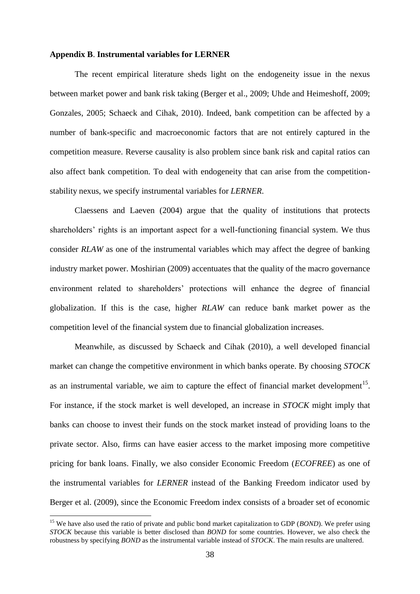# **Appendix B**. **Instrumental variables for LERNER**

 The recent empirical literature sheds light on the endogeneity issue in the nexus between market power and bank risk taking (Berger et al., 2009; Uhde and Heimeshoff, 2009; Gonzales, 2005; Schaeck and Cihak, 2010). Indeed, bank competition can be affected by a number of bank-specific and macroeconomic factors that are not entirely captured in the competition measure. Reverse causality is also problem since bank risk and capital ratios can also affect bank competition. To deal with endogeneity that can arise from the competitionstability nexus, we specify instrumental variables for *LERNER*.

Claessens and Laeven (2004) argue that the quality of institutions that protects shareholders' rights is an important aspect for a well-functioning financial system. We thus consider *RLAW* as one of the instrumental variables which may affect the degree of banking industry market power. Moshirian (2009) accentuates that the quality of the macro governance environment related to shareholders" protections will enhance the degree of financial globalization. If this is the case, higher *RLAW* can reduce bank market power as the competition level of the financial system due to financial globalization increases.

Meanwhile, as discussed by Schaeck and Cihak (2010), a well developed financial market can change the competitive environment in which banks operate. By choosing *STOCK* as an instrumental variable, we aim to capture the effect of financial market development<sup>15</sup>. For instance, if the stock market is well developed, an increase in *STOCK* might imply that banks can choose to invest their funds on the stock market instead of providing loans to the private sector. Also, firms can have easier access to the market imposing more competitive pricing for bank loans. Finally, we also consider Economic Freedom (*ECOFREE*) as one of the instrumental variables for *LERNER* instead of the Banking Freedom indicator used by Berger et al. (2009), since the Economic Freedom index consists of a broader set of economic

 $\overline{a}$ 

<sup>&</sup>lt;sup>15</sup> We have also used the ratio of private and public bond market capitalization to GDP (*BOND*). We prefer using *STOCK* because this variable is better disclosed than *BOND* for some countries. However, we also check the robustness by specifying *BOND* as the instrumental variable instead of *STOCK*. The main results are unaltered.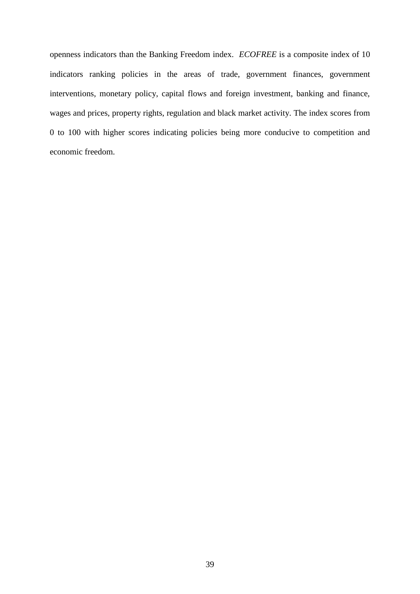openness indicators than the Banking Freedom index. *ECOFREE* is a composite index of 10 indicators ranking policies in the areas of trade, government finances, government interventions, monetary policy, capital flows and foreign investment, banking and finance, wages and prices, property rights, regulation and black market activity. The index scores from 0 to 100 with higher scores indicating policies being more conducive to competition and economic freedom.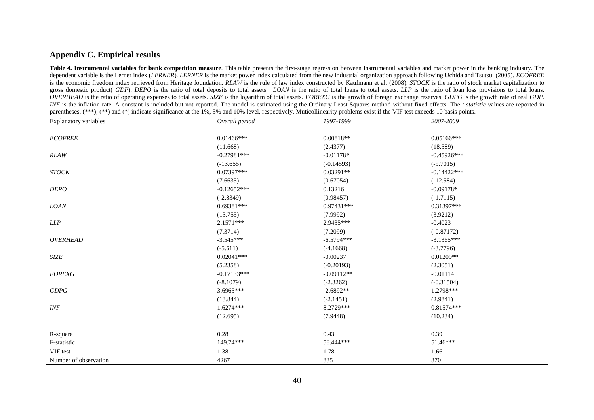## **Appendix C. Empirical results**

**Table 4. Instrumental variables for bank competition measure**. This table presents the first-stage regression between instrumental variables and market power in the banking industry. The dependent variable is the Lerner index (*LERNER*). *LERNER* is the market power index calculated from the new industrial organization approach following Uchida and Tsutsui (2005). *ECOFREE* is the economic freedom index retrieved from Heritage foundation. *RLAW* is the rule of law index constructed by Kaufmann et al. (2008). *STOCK* is the ratio of stock market capitalization to gross domestic product( *GDP*). *DEPO* is the ratio of total deposits to total assets. *LOAN* is the ratio of total loans to total assets. *LLP* is the ratio of loan loss provisions to total loans. *OVERHEAD* is the ratio of operating expenses to total assets. *SIZE* is the logarithm of total assets. *FOREXG* is the growth of foreign exchange reserves. *GDPG* is the growth rate of real *GDP*. *INF* is the inflation rate. A constant is included but not reported. The model is estimated using the Ordinary Least Squares method without fixed effects. The *t-statistic* values are reported in parentheses. (\*\*\*), (\*\*) and (\*) indicate significance at the 1%, 5% and 10% level, respectively. Muticollinearity problems exist if the VIF test exceeds 10 basis points.

| Explanatory variables | Overall period | 1997-1999    | 2007-2009      |  |
|-----------------------|----------------|--------------|----------------|--|
|                       |                |              |                |  |
| <b>ECOFREE</b>        | $0.01466$ ***  | $0.00818**$  | $0.05166***$   |  |
|                       | (11.668)       | (2.4377)     | (18.589)       |  |
| <b>RLAW</b>           | $-0.27981***$  | $-0.01178*$  | $-0.45926***$  |  |
|                       | $(-13.655)$    | $(-0.14593)$ | $(-9.7015)$    |  |
| <b>STOCK</b>          | $0.07397***$   | $0.03291**$  | $-0.14422$ *** |  |
|                       | (7.6635)       | (0.67054)    | $(-12.584)$    |  |
| <b>DEPO</b>           | $-0.12652***$  | 0.13216      | $-0.09178*$    |  |
|                       | $(-2.8349)$    | (0.98457)    | $(-1.7115)$    |  |
| <b>LOAN</b>           | $0.69381***$   | 0.97431***   | $0.31397***$   |  |
|                       | (13.755)       | (7.9992)     | (3.9212)       |  |
| LLP                   | $2.1571***$    | 2.9435***    | $-0.4023$      |  |
|                       | (7.3714)       | (7.2099)     | $(-0.87172)$   |  |
| <b>OVERHEAD</b>       | $-3.545***$    | $-6.5794***$ | $-3.1365***$   |  |
|                       | $(-5.611)$     | $(-4.1668)$  | $(-3.7796)$    |  |
| SIZE                  | $0.02041***$   | $-0.00237$   | $0.01209**$    |  |
|                       | (5.2358)       | $(-0.20193)$ | (2.3051)       |  |
| <b>FOREXG</b>         | $-0.17133***$  | $-0.09112**$ | $-0.01114$     |  |
|                       | $(-8.1079)$    | $(-2.3262)$  | $(-0.31504)$   |  |
| <b>GDPG</b>           | 3.6965***      | $-2.6892**$  | 1.2798***      |  |
|                       | (13.844)       | $(-2.1451)$  | (2.9841)       |  |
| INF                   | 1.6274***      | 8.2729***    | 0.81574***     |  |
|                       | (12.695)       | (7.9448)     | (10.234)       |  |
|                       |                |              |                |  |
| R-square              | 0.28           | 0.43         | 0.39           |  |
| F-statistic           | 149.74***      | 58.444***    | $51.46***$     |  |
| VIF test              | 1.38           | 1.78         | 1.66           |  |
| Number of observation | 4267           | 835          | 870            |  |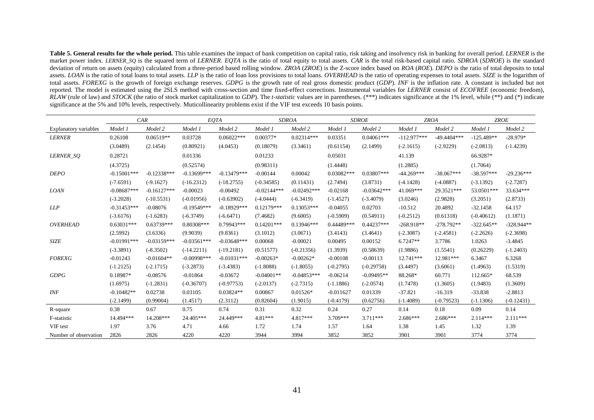Table 5. General results for the whole period. This table examines the impact of bank competition on capital ratio, risk taking and insolvency risk in banking for overall period. *LERNER* is the market power index. LERNER SO is the squared term of LERNER. EOTA is the ratio of total equity to total assets. CAR is the total risk-based capital ratio. SDROA (SDROE) is the standard deviation of return on assets (equity) calculated from a three-period based rolling window. *ZROA* (*ZROE*) is the Z-score index based on *ROA* (*ROE*). *DEPO* is the ratio of total deposits to total assets. LOAN is the ratio of total loans to total assets. LLP is the ratio of loan loss provisions to total loans. OVERHEAD is the ratio of operating expenses to total assets. SIZE is the logarithm of total assets. *FOREXG* is the growth of foreign exchange reserves. *GDPG* is the growth rate of real gross domestic product (*GDP*). *INF* is the inflation rate. A constant is included but not reported. The model is estimated using the 2SLS method with cross-section and time fixed-effect corrections. Instrumental variables for *LERNER* consist of *ECOFREE* (economic freedom), *RLAW* (rule of law) and *STOCK* (the ratio of stock market capitalization to *GDP*). The *t-statistic* values are in parentheses. (\*\*\*) indicates significance at the 1% level, while (\*\*) and (\*) indicate significance at the 5% and 10% levels, respectively. Muticollinearity problems exist if the VIF test exceeds 10 basis points.

|                              |               | CAR           |               | EOTA          | <b>SDROA</b>  |               |              | <b>SDROE</b>  |               | <b>ZROA</b>   |              | <b>ZROE</b>  |
|------------------------------|---------------|---------------|---------------|---------------|---------------|---------------|--------------|---------------|---------------|---------------|--------------|--------------|
| <b>Explanatory variables</b> | Model 1       | Model 2       | Model 1       | Model 2       | Model 1       | Model 2       | Model 1      | Model 2       | Model 1       | Model 2       | Model 1      | Model 2      |
| <b>LERNER</b>                | 0.26108       | $0.06519**$   | 0.03728       | $0.06022***$  | $0.00377*$    | $0.02314***$  | 0.03351      | $0.04061***$  | $-112.977***$ | $-49.4404***$ | $-125.489**$ | $-28.979*$   |
|                              | (3.0489)      | (2.1454)      | (0.80921)     | (4.0453)      | (0.18079)     | (3.3461)      | (0.61154)    | (2.1499)      | $(-2.1615)$   | $(-2.9229)$   | $(-2.0813)$  | $(-1.4239)$  |
| LERNER_SO                    | 0.28721       |               | 0.01336       |               | 0.01233       |               | 0.05031      |               | 41.139        |               | 66.9287*     |              |
|                              | (4.3725)      |               | (0.52574)     |               | (0.98311)     |               | (1.4448)     |               | (1.2885)      |               | (1.7064)     |              |
| <b>DEPO</b>                  | $-0.15001***$ | $-0.12338***$ | $-0.13699***$ | $-0.13479***$ | $-0.00144$    | 0.00042       | $0.03082***$ | $0.03807***$  | $-44.269***$  | $-38.067***$  | $-38.597***$ | $-29.236***$ |
|                              | $(-7.6591)$   | $(-9.1627)$   | $(-16.2312)$  | $(-18.2755)$  | $(-0.34585)$  | (0.11431)     | (2.7494)     | (3.8731)      | $(-4.1428)$   | $(-4.0887)$   | $(-3.1392)$  | $(-2.7287)$  |
| <b>LOAN</b>                  | $-0.08687***$ | $-0.16127***$ | $-0.00023$    | $-0.00492$    | $-0.02144***$ | $-0.02492***$ | $-0.02168$   | $-0.03642***$ | 41.069***     | 29.3521***    | 53.0501***   | 33.634***    |
|                              | $(-3.2028)$   | $(-10.5531)$  | $(-0.01956)$  | $(-0.63902)$  | $(-4.0444)$   | $(-6.3419)$   | $(-1.4527)$  | $(-3.4079)$   | (3.0246)      | (2.9828)      | (3.2051)     | (2.8733)     |
| <b>LLP</b>                   | $-0.31453***$ | $-0.08076$    | $-0.19549***$ | $-0.18929***$ | $0.12179***$  | $0.13053***$  | $-0.04055$   | 0.02703       | $-10.512$     | 20.4892       | $-32.1458$   | 64.157       |
|                              | $(-3.6176)$   | $(-1.6283)$   | $(-6.3749)$   | $(-6.6471)$   | (7.4682)      | (9.6005)      | $(-0.5909)$  | (0.54911)     | $(-0.2512)$   | (0.61318)     | $(-0.40612)$ | (1.1871)     |
| <b>OVERHEAD</b>              | $0.63031***$  | $0.63739***$  | $0.80308***$  | $0.79943***$  | $0.14201$ *** | $0.13946***$  | 0.44489***   | 0.44237***    | $-268.918**$  | $-278.792**$  | $-322.645**$ | $-328.944**$ |
|                              | (2.5992)      | (3.6336)      | (9.9039)      | (9.8361)      | (3.1012)      | (3.0671)      | (3.4143)     | (3.4641)      | $(-2.3087)$   | $(-2.4581)$   | $(-2.2626)$  | $(-2.3698)$  |
| <b>SIZE</b>                  | $-0.01991***$ | $-0.03159***$ | $-0.03561***$ | $-0.03648***$ | 0.00068       | $-0.00021$    | 0.00495      | 0.00152       | $6.7247**$    | 3.7786        | 1.0263       | $-3.4845$    |
|                              | $(-3.3891)$   | $(-8.3502)$   | $(-14.2211)$  | $(-19.2181)$  | (0.51577)     | $(-0.21356)$  | (1.3939)     | (0.58639)     | (1.9886)      | (1.5541)      | (0.26229)    | $(-1.2403)$  |
| <b>FOREXG</b>                | $-0.01243$    | $-0.01604**$  | $-0.00998***$ | $-0.01031***$ | $-0.00263*$   | $-0.00262*$   | $-0.00108$   | $-0.00113$    | 12.741***     | 12.981***     | 6.3467       | 6.3268       |
|                              | $(-1.2125)$   | $(-2.1715)$   | $(-3.2873)$   | $(-3.4383)$   | $(-1.8088)$   | $(-1.8055)$   | $(-0.2795)$  | $(-0.29758)$  | (3.4497)      | (3.6061)      | (1.4963)     | (1.5319)     |
| <b>GDPG</b>                  | 0.18987*      | $-0.08576$    | $-0.01864$    | $-0.03672$    | $-0.04001**$  | $-0.04853***$ | $-0.06214$   | $-0.09495**$  | 88.268*       | 60.771        | 112.665*     | 68.539       |
|                              | (1.6975)      | $(-1.2831)$   | $(-0.36707)$  | $(-0.97753)$  | $(-2.0137)$   | $(-2.7315)$   | $(-1.1886)$  | $(-2.0574)$   | (1.7478)      | (1.3605)      | (1.9483)     | (1.3609)     |
| <b>INF</b>                   | $-0.10482**$  | 0.02738       | 0.03105       | 0.03824**     | 0.00867       | $0.01526*$    | $-0.011627$  | 0.01339       | $-37.821$     | $-16.319$     | $-33.838$    | $-2.8813$    |
|                              | $(-2.1499)$   | (0.99004)     | (1.4517)      | (2.3112)      | (0.82604)     | (1.9015)      | $(-0.4179)$  | (0.62756)     | $(-1.4089)$   | $(-0.79523)$  | $(-1.1306)$  | $(-0.12431)$ |
| R-square                     | 0.38          | 0.67          | 0.75          | 0.74          | 0.31          | 0.32          | 0.24         | 0.27          | 0.14          | 0.18          | 0.09         | 0.14         |
| F-statistic                  | 14.494***     | 14.208***     | 24.405***     | 24.449***     | $4.81***$     | $4.817***$    | $3.709***$   | $3.711***$    | $2.686***$    | $2.686***$    | $2.114***$   | $2.111***$   |
| VIF test                     | 1.97          | 3.76          | 4.71          | 4.66          | 1.72          | 1.74          | 1.57         | 1.64          | 1.38          | 1.45          | 1.32         | 1.39         |
| Number of observation        | 2826          | 2826          | 4220          | 4220          | 3944          | 3994          | 3852         | 3852          | 3901          | 3901          | 3774         | 3774         |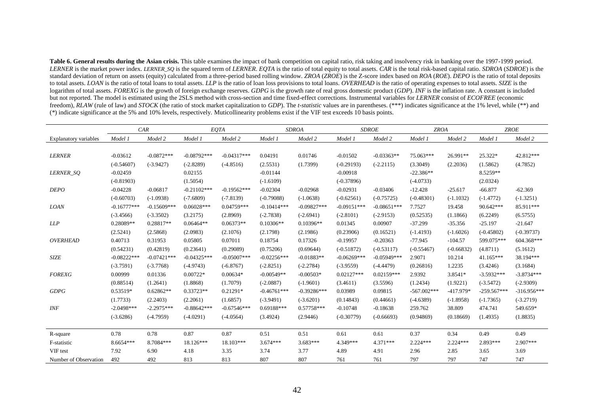**Table 6. General results during the Asian crisis.** This table examines the impact of bank competition on capital ratio, risk taking and insolvency risk in banking over the 1997-1999 period. LERNER is the market power index. LERNER\_SQ is the squared term of LERNER. EQTA is the ratio of total equity to total assets. CAR is the total risk-based capital ratio. SDROA (SDROE) is the standard deviation of return on assets (equity) calculated from a three-period based rolling window. *ZROA* (*ZROE*) is the Z-score index based on *ROA* (*ROE*). *DEPO* is the ratio of total deposits to total assets. *LOAN* is the ratio of total loans to total assets. *LLP* is the ratio of loan loss provisions to total loans. *OVERHEAD* is the ratio of operating expenses to total assets. *SIZE* is the logarithm of total assets. *FOREXG* is the growth of foreign exchange reserves. *GDPG* is the growth rate of real gross domestic product (*GDP*). *INF* is the inflation rate. A constant is included but not reported. The model is estimated using the 2SLS method with cross-section and time fixed-effect corrections. Instrumental variables for *LERNER* consist of *ECOFREE* (economic freedom), *RLAW* (rule of law) and *STOCK* (the ratio of stock market capitalization to *GDP*). The *t-statistic* values are in parentheses. (\*\*\*) indicates significance at the 1% level, while (\*\*) and (\*) indicate significance at the 5% and 10% levels, respectively. Muticollinearity problems exist if the VIF test exceeds 10 basis points.

|                              |               | CAR           |               | EQTA          |               | <b>SDROA</b>  |               | <b>SDROE</b>  | <b>ZROA</b>   |              |               | <b>ZROE</b>   |
|------------------------------|---------------|---------------|---------------|---------------|---------------|---------------|---------------|---------------|---------------|--------------|---------------|---------------|
| <b>Explanatory variables</b> | Model 1       | Model 2       | Model 1       | Model 2       | Model 1       | Model 2       | Model 1       | Model 2       | Model 1       | Model 2      | Model 1       | Model 2       |
|                              |               |               |               |               |               |               |               |               |               |              |               |               |
| <b>LERNER</b>                | $-0.03612$    | $-0.0872***$  | $-0.08792***$ | $-0.04317***$ | 0.04191       | 0.01746       | $-0.01502$    | $-0.03363**$  | 75.063***     | 26.991**     | 25.322*       | 42.812***     |
|                              | $(-0.54607)$  | $(-3.9427)$   | $(-2.8289)$   | $(-4.8516)$   | (2.5531)      | (1.7399)      | $(-0.29193)$  | $(-2.2115)$   | (3.3049)      | (2.2036)     | (1.5862)      | (4.7852)      |
| LERNER_SO                    | $-0.02459$    |               | 0.02155       |               | $-0.01144$    |               | $-0.00918$    |               | $-22.386**$   |              | 8.5259**      |               |
|                              | $(-0.81903)$  |               | (1.5054)      |               | $(-1.6109)$   |               | $(-0.37896)$  |               | $(-4.0733)$   |              | (2.0324)      |               |
| <b>DEPO</b>                  | $-0.04228$    | $-0.06817$    | $-0.21102***$ | $-0.19562***$ | $-0.02304$    | $-0.02968$    | $-0.02931$    | $-0.03406$    | $-12.428$     | $-25.617$    | $-66.877$     | $-62.369$     |
|                              | $(-0.60703)$  | $(-1.0938)$   | $(-7.6809)$   | $(-7.8139)$   | $(-0.79088)$  | $(-1.0638)$   | $(-0.62561)$  | $(-0.75725)$  | $(-0.48301)$  | $(-1.1032)$  | $(-1.4772)$   | $(-1.3251)$   |
| <b>LOAN</b>                  | $-0.16777***$ | $-0.15609***$ | $0.06028***$  | $0.04759***$  | $-0.10414***$ | $-0.09827***$ | $-0.09151***$ | $-0.08651***$ | 7.7527        | 19.458       | 90.642***     | 85.911***     |
|                              | $(-3.4566)$   | $(-3.3502)$   | (3.2175)      | (2.8969)      | $(-2.7838)$   | $(-2.6941)$   | $(-2.8101)$   | $(-2.9153)$   | (0.52535)     | (1.1866)     | (6.2249)      | (6.5755)      |
| LLP                          | 0.28089**     | 0.28817**     | $0.06464**$   | $0.06373**$   | $0.10306**$   | $0.10396**$   | 0.01345       | 0.00907       | $-37.299$     | $-35.356$    | $-25.197$     | $-21.647$     |
|                              | (2.5241)      | (2.5868)      | (2.0983)      | (2.1076)      | (2.1798)      | (2.1986)      | (0.23906)     | (0.16521)     | $(-1.4193)$   | $(-1.6026)$  | $(-0.45802)$  | $(-0.39737)$  |
| <b>OVERHEAD</b>              | 0.40713       | 0.31953       | 0.05805       | 0.07011       | 0.18754       | 0.17326       | $-0.19957$    | $-0.20363$    | $-77.945$     | $-104.57$    | 599.075***    | 604.368***    |
|                              | (0.54231)     | (0.42819)     | (0.23641)     | (0.29089)     | (0.75206)     | (0.69644)     | $(-0.51872)$  | $(-0.53117)$  | $(-0.55467)$  | $(-0.66832)$ | (4.8711)      | (5.1612)      |
| SIZE                         | $-0.08222***$ | $-0.07421***$ | $-0.04325***$ | $-0.05007***$ | $-0.02256***$ | $-0.01883**$  | $-0.06269***$ | $-0.05949***$ | 2.9071        | 10.214       | $41.165***$   | 38.194***     |
|                              | $(-3.7591)$   | $(-3.7768)$   | $(-4.9743)$   | $(-6.8767)$   | $(-2.8251)$   | $(-2.2784)$   | $(-3.9559)$   | $(-4.4479)$   | (0.26816)     | 1.2235       | (3.4246)      | (3.1684)      |
| <b>FOREXG</b>                | 0.00999       | 0.01336       | $0.00722*$    | $0.00634*$    | $-0.00549**$  | $-0.00503*$   | $0.02127***$  | $0.02159***$  | 2.9392        | 3.8541*      | $-3.5932***$  | $-3.8734***$  |
|                              | (0.88514)     | (1.2641)      | (1.8868)      | (1.7079)      | $(-2.0887)$   | $(-1.9601)$   | (3.4611)      | (3.5596)      | (1.2434)      | (1.9221)     | $(-3.5472)$   | $(-2.9309)$   |
| <b>GDPG</b>                  | 0.53519*      | $0.62862**$   | 0.33723**     | $0.21291*$    | $-0.46761***$ | $-0.39286***$ | 0.03989       | 0.09815       | $-567.002***$ | $-417.979*$  | $-259.567***$ | $-316.956***$ |
|                              | (1.7733)      | (2.2403)      | (2.2061)      | (1.6857)      | $(-3.9491)$   | $(-3.6201)$   | (0.14843)     | (0.44661)     | $(-4.6389)$   | $(-1.8958)$  | $(-1.7365)$   | $(-3.2719)$   |
| <b>INF</b>                   | $-2.0498***$  | $-2.2975***$  | $-0.88642***$ | $-0.67546***$ | $0.69188***$  | $0.57758***$  | $-0.10748$    | $-0.18638$    | 259.762       | 38.809       | 474.741       | 549.659*      |
|                              | $(-3.6286)$   | $(-4.7959)$   | $(-4.0291)$   | $(-4.0564)$   | (3.4924)      | (2.9446)      | $(-0.30779)$  | $(-0.66693)$  | (0.94869)     | (0.18669)    | (1.4935)      | (1.8835)      |
|                              |               |               |               |               |               |               |               |               |               |              |               |               |
| R-square                     | 0.78          | 0.78          | 0.87          | 0.87          | 0.51          | 0.51          | 0.61          | 0.61          | 0.37          | 0.34         | 0.49          | 0.49          |
| F-statistic                  | 8.6654***     | 8.7084***     | 18.126***     | $18.103***$   | $3.674***$    | $3.683***$    | 4.349***      | $4.371***$    | $2.224***$    | $2.224***$   | 2.893***      | $2.907***$    |
| VIF test                     | 7.92          | 6.90          | 4.18          | 3.35          | 3.74          | 3.77          | 4.89          | 4.91          | 2.96          | 2.85         | 3.65          | 3.69          |
| Number of Observation        | 492           | 492           | 813           | 813           | 807           | 807           | 761           | 761           | 797           | 797          | 747           | 747           |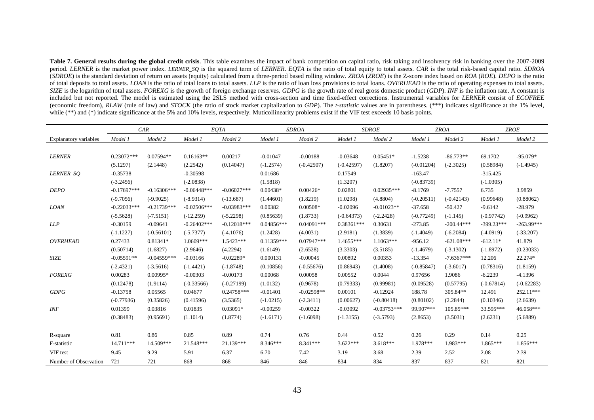Table 7. General results during the global credit crisis. This table examines the impact of bank competition on capital ratio, risk taking and insolvency risk in banking over the 2007-2009 period. *LERNER* is the market power index. *LERNER\_SQ* is the squared term of *LERNER*. *EQTA* is the ratio of total equity to total assets. *CAR* is the total risk-based capital ratio. *SDROA* (SDROE) is the standard deviation of return on assets (equity) calculated from a three-period based rolling window. ZROA (ZROE) is the Z-score index based on ROA (ROE). DEPO is the ratio of total deposits to total assets. *LOAN* is the ratio of total loans to total assets. *LLP* is the ratio of loan loss provisions to total loans. *OVERHEAD* is the ratio of operating expenses to total assets. SIZE is the logarithm of total assets. FOREXG is the growth of foreign exchange reserves. GDPG is the growth rate of real gross domestic product (GDP). INF is the inflation rate. A constant is included but not reported. The model is estimated using the 2SLS method with cross-section and time fixed-effect corrections. Instrumental variables for *LERNER* consist of *ECOFREE* (economic freedom), *RLAW* (rule of law) and *STOCK* (the ratio of stock market capitalization to *GDP*). The *t-statistic* values are in parentheses. (\*\*\*) indicates significance at the 1% level, while (\*\*) and (\*) indicate significance at the 5% and 10% levels, respectively. Muticollinearity problems exist if the VIF test exceeds 10 basis points.

|                              |               | CAR           |               | EQTA          |              | <b>SDROA</b> |              | <b>SDROE</b>  |              | <b>ZROA</b>  |              | <b>ZROE</b>  |
|------------------------------|---------------|---------------|---------------|---------------|--------------|--------------|--------------|---------------|--------------|--------------|--------------|--------------|
| <b>Explanatory variables</b> | Model 1       | Model 2       | Model 1       | Model 2       | Model 1      | Model 2      | Model 1      | Model 2       | Model 1      | Model 2      | Model 1      | Model 2      |
|                              |               |               |               |               |              |              |              |               |              |              |              |              |
| <b>LERNER</b>                | $0.23072***$  | $0.07594**$   | $0.16163**$   | 0.00217       | $-0.01047$   | $-0.00188$   | $-0.03648$   | $0.05451*$    | $-1.5238$    | $-86.773**$  | 69.1702      | $-95.079*$   |
|                              | (5.1297)      | (2.1448)      | (2.2542)      | (0.14047)     | $(-1.2574)$  | $(-0.42507)$ | $(-0.42597)$ | (1.8207)      | $(-0.01204)$ | $(-2.3025)$  | (0.58984)    | $(-1.4945)$  |
| LERNER_SO                    | $-0.35738$    |               | $-0.30598$    |               | 0.01686      |              | 0.17549      |               | $-163.47$    |              | $-315.425$   |              |
|                              | $(-3.2456)$   |               | $(-2.0838)$   |               | (1.5818)     |              | (1.3207)     |               | $(-0.83739)$ |              | $(-1.0305)$  |              |
| <b>DEPO</b>                  | $-0.17697***$ | $-0.16306***$ | $-0.06448***$ | $-0.06027***$ | $0.00438*$   | $0.00426*$   | 0.02801      | $0.02935***$  | $-8.1769$    | $-7.7557$    | 6.735        | 3.9859       |
|                              | $(-9.7056)$   | $(-9.9025)$   | $(-8.9314)$   | $(-13.687)$   | (1.44601)    | (1.8219)     | (1.0298)     | (4.8804)      | $(-0.20511)$ | $(-0.42143)$ | (0.99648)    | (0.88062)    |
| <b>LOAN</b>                  | $-0.22033***$ | $-0.21739***$ | $-0.02506***$ | $-0.03983***$ | 0.00382      | 0.00508*     | $-0.02096$   | $-0.01023**$  | $-37.658$    | $-50.427$    | $-9.6142$    | $-28.979$    |
|                              | $(-5.5628)$   | $(-7.5151)$   | $(-12.259)$   | $(-5.2298)$   | (0.85639)    | (1.8733)     | $(-0.64373)$ | $(-2.2428)$   | $(-0.77249)$ | $(-1.145)$   | $(-0.97742)$ | $(-0.9962)$  |
| LLP                          | $-0.30159$    | $-0.09641$    | $-0.26402***$ | $-0.12018***$ | $0.04856***$ | $0.04091***$ | $0.38361***$ | 0.30631       | $-273.85$    | $-200.44***$ | $-399.23***$ | $-263.99***$ |
|                              | $(-1.1227)$   | $(-0.56101)$  | $(-5.7377)$   | $(-4.1076)$   | (1.2428)     | (4.0031)     | (2.9181)     | (1.3839)      | $(-1.4049)$  | $(-6.2084)$  | $(-4.0919)$  | $(-33.207)$  |
| OVERHEAD                     | 0.27433       | 0.81341*      | $1.0609***$   | 1.5423***     | $0.11359***$ | $0.07947***$ | $1.4655***$  | $1.1063***$   | $-956.12$    | $-621.08***$ | $-612.11*$   | 41.879       |
|                              | (0.50714)     | (1.6827)      | (2.9646)      | (4.2294)      | (1.6149)     | (2.6528)     | (3.3303)     | (3.5185)      | $(-1.4679)$  | $(-3.1302)$  | $(-1.8972)$  | (0.23033)    |
| <b>SIZE</b>                  | $-0.05591**$  | $-0.04559***$ | $-0.03166$    | $-0.02289*$   | 0.000131     | $-0.00045$   | 0.00892      | 0.00353       | $-13.354$    | $-7.6367***$ | 12.206       | 22.274*      |
|                              | $(-2.4321)$   | $(-3.5616)$   | $(-1.4421)$   | $(-1.8748)$   | (0.10856)    | $(-0.55676)$ | (0.86943)    | (1.4008)      | $(-0.85847)$ | $(-3.6017)$  | (0.78316)    | (1.8159)     |
| <b>FOREXG</b>                | 0.00283       | $0.00995*$    | $-0.00303$    | $-0.00173$    | 0.00068      | 0.00058      | 0.00552      | 0.0044        | 0.97656      | 1.9086       | $-6.2239$    | $-4.1396$    |
|                              | (0.12478)     | (1.9114)      | $(-0.33566)$  | $(-0.27199)$  | (1.0132)     | (0.9678)     | (0.79333)    | (0.99981)     | (0.09528)    | (0.57795)    | $(-0.67814)$ | $(-0.62283)$ |
| GDPG                         | $-0.13758$    | 0.05565       | 0.04677       | $0.24758***$  | $-0.01401$   | $-0.02598**$ | 0.00101      | $-0.12924$    | 188.78       | 305.84**     | 12.491       | 252.11***    |
|                              | $(-0.77936)$  | (0.35826)     | (0.41596)     | (3.5365)      | $(-1.0215)$  | $(-2.3411)$  | (0.00627)    | $(-0.80418)$  | (0.80102)    | (2.2844)     | (0.10346)    | (2.6639)     |
| <b>INF</b>                   | 0.01399       | 0.03816       | 0.01835       | 0.03091*      | $-0.00259$   | $-0.00322$   | $-0.03092$   | $-0.03753***$ | 99.907***    | 105.85***    | 33.595***    | 46.058***    |
|                              | (0.38483)     | (0.95691)     | (1.1014)      | (1.8774)      | $(-1.6171)$  | $(-1.6098)$  | $(-1.3155)$  | $(-3.5793)$   | (2.8653)     | (3.5031)     | (2.6231)     | (5.6889)     |
|                              |               |               |               |               |              |              |              |               |              |              |              |              |
| R-square                     | 0.81          | 0.86          | 0.85          | 0.89          | 0.74         | 0.76         | 0.44         | 0.52          | 0.26         | 0.29         | 0.14         | 0.25         |
| F-statistic                  | 14.711***     | 14.509***     | 21.548***     | 21.139***     | 8.346***     | 8.341***     | $3.622***$   | $3.618***$    | 1.978***     | 1.983***     | $1.865***$   | 1.856***     |
| VIF test                     | 9.45          | 9.29          | 5.91          | 6.37          | 6.70         | 7.42         | 3.19         | 3.68          | 2.39         | 2.52         | 2.08         | 2.39         |
| Number of Observation        | 721           | 721           | 868           | 868           | 846          | 846          | 834          | 834           | 837          | 837          | 821          | 821          |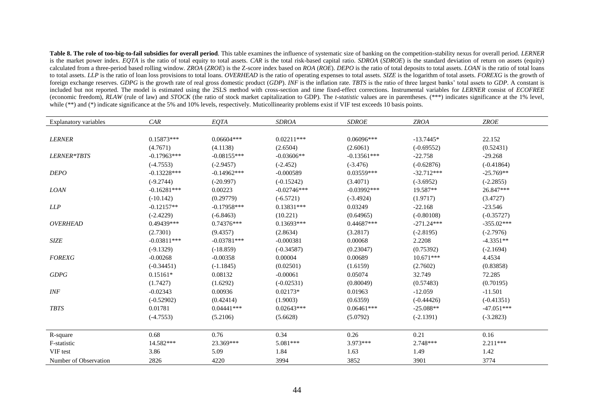**Table 8. The role of too-big-to-fail subsidies for overall period**. This table examines the influence of systematic size of banking on the competition-stability nexus for overall period. *LERNER* is the market power index. *EQTA* is the ratio of total equity to total assets. *CAR* is the total risk-based capital ratio. *SDROA* (*SDROE*) is the standard deviation of return on assets (equity) calculated from a three-period based rolling window. ZROA (ZROE) is the Z-score index based on ROA (ROE). DEPO is the ratio of total deposits to total assets. LOAN is the ratio of total loans to total assets. LLP is the ratio of loan loss provisions to total loans. OVERHEAD is the ratio of operating expenses to total assets. SIZE is the logarithm of total assets. FOREXG is the growth of foreign exchange reserves. GDPG is the growth rate of real gross domestic product (GDP). INF is the inflation rate. TBTS is the ratio of three largest banks' total assets to GDP. A constant is included but not reported. The model is estimated using the 2SLS method with cross-section and time fixed-effect corrections. Instrumental variables for *LERNER* consist of *ECOFREE* (economic freedom), *RLAW* (rule of law) and *STOCK* (the ratio of stock market capitalization to GDP). The *t-statistic* values are in parentheses. (\*\*\*) indicates significance at the 1% level, while (\*\*) and (\*) indicate significance at the 5% and 10% levels, respectively. Muticollinearity problems exist if VIF test exceeds 10 basis points.

| <b>Explanatory variables</b> | CAR            | EQTA           | <b>SDROA</b>  | <b>SDROE</b>  | <b>ZROA</b>  | <b>ZROE</b>  |
|------------------------------|----------------|----------------|---------------|---------------|--------------|--------------|
|                              |                |                |               |               |              |              |
| <b>LERNER</b>                | $0.15873***$   | $0.06604***$   | $0.02211***$  | $0.06096***$  | $-13.7445*$  | 22.152       |
|                              | (4.7671)       | (4.1138)       | (2.6504)      | (2.6061)      | $(-0.69552)$ | (0.52431)    |
| LERNER*TBTS                  | $-0.17963***$  | $-0.08155***$  | $-0.03606**$  | $-0.13561***$ | $-22.758$    | $-29.268$    |
|                              | $(-4.7553)$    | $(-2.9457)$    | $(-2.452)$    | $(-3.476)$    | $(-0.62876)$ | $(-0.41864)$ |
| <b>DEPO</b>                  | $-0.13228$ *** | $-0.14962$ *** | $-0.000589$   | $0.03559***$  | $-32.712***$ | $-25.769**$  |
|                              | $(-9.2744)$    | $(-20.997)$    | $(-0.15242)$  | (3.4071)      | $(-3.6952)$  | $(-2.2855)$  |
| <b>LOAN</b>                  | $-0.16281***$  | 0.00223        | $-0.02746***$ | $-0.03992***$ | 19.587**     | 26.847***    |
|                              | $(-10.142)$    | (0.29779)      | $(-6.5721)$   | $(-3.4924)$   | (1.9717)     | (3.4727)     |
| LLP                          | $-0.12157**$   | $-0.17958***$  | $0.13831***$  | 0.03249       | $-22.168$    | $-23.546$    |
|                              | $(-2.4229)$    | $(-6.8463)$    | (10.221)      | (0.64965)     | $(-0.80108)$ | $(-0.35727)$ |
| <b>OVERHEAD</b>              | $0.49439***$   | $0.74376***$   | $0.13693***$  | $0.44687***$  | $-271.24***$ | $-355.02***$ |
|                              | (2.7301)       | (9.4357)       | (2.8634)      | (3.2817)      | $(-2.8195)$  | $(-2.7976)$  |
| <b>SIZE</b>                  | $-0.03811***$  | $-0.03781***$  | $-0.000381$   | 0.00068       | 2.2208       | $-4.3351**$  |
|                              | $(-9.1329)$    | $(-18.859)$    | $(-0.34587)$  | (0.23047)     | (0.75392)    | $(-2.1694)$  |
| <b>FOREXG</b>                | $-0.00268$     | $-0.00358$     | 0.00004       | 0.00689       | $10.671***$  | 4.4534       |
|                              | $(-0.34451)$   | $(-1.1845)$    | (0.02501)     | (1.6159)      | (2.7602)     | (0.83858)    |
| GDPG                         | $0.15161*$     | 0.08132        | $-0.00061$    | 0.05074       | 32.749       | 72.285       |
|                              | (1.7427)       | (1.6292)       | $(-0.02531)$  | (0.80049)     | (0.57483)    | (0.70195)    |
| INF                          | $-0.02343$     | 0.00936        | $0.02173*$    | 0.01963       | $-12.059$    | $-11.501$    |
|                              | $(-0.52902)$   | (0.42414)      | (1.9003)      | (0.6359)      | $(-0.44426)$ | $(-0.41351)$ |
| <b>TBTS</b>                  | 0.01781        | $0.04441***$   | $0.02643***$  | $0.06461***$  | $-25.088**$  | $-47.051***$ |
|                              | $(-4.7553)$    | (5.2106)       | (5.6628)      | (5.0792)      | $(-2.1391)$  | $(-3.2823)$  |
| R-square                     | 0.68           | 0.76           | 0.34          | 0.26          | 0.21         | 0.16         |
| F-statistic                  | 14.582***      | 23.369***      | 5.081***      | 3.973***      | 2.748***     | $2.211***$   |
| VIF test                     | 3.86           | 5.09           | 1.84          | 1.63          | 1.49         | 1.42         |
| Number of Observation        | 2826           | 4220           | 3994          | 3852          | 3901         | 3774         |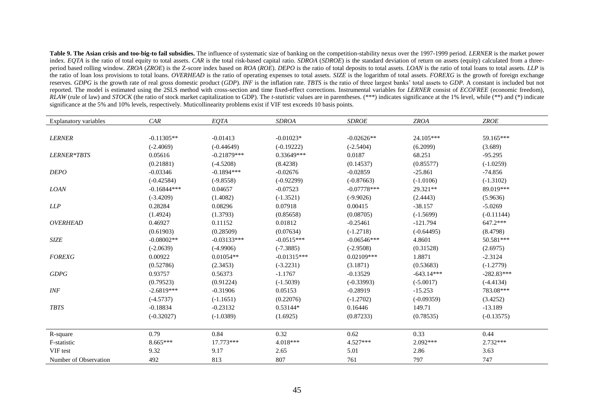**Table 9. The Asian crisis and too-big-to fail subsidies.** The influence of systematic size of banking on the competition-stability nexus over the 1997-1999 period. *LERNER* is the market power index. *EQTA* is the ratio of total equity to total assets. *CAR* is the total risk-based capital ratio. *SDROA* (*SDROE*) is the standard deviation of return on assets (equity) calculated from a threeperiod based rolling window. ZROA (ZROE) is the Z-score index based on ROA (ROE). DEPO is the ratio of total deposits to total assets. LOAN is the ratio of total loans to total assets. LLP is the ratio of loan loss provisions to total loans. *OVERHEAD* is the ratio of operating expenses to total assets. *SIZE* is the logarithm of total assets. *FOREXG* is the growth of foreign exchange reserves. GDPG is the growth rate of real gross domestic product (GDP). INF is the inflation rate. TBTS is the ratio of three largest banks' total assets to GDP. A constant is included but not reported. The model is estimated using the 2SLS method with cross-section and time fixed-effect corrections. Instrumental variables for *LERNER* consist of *ECOFREE* (economic freedom), *RLAW* (rule of law) and *STOCK* (the ratio of stock market capitalization to GDP). The *t-statistic* values are in parentheses. (\*\*\*) indicates significance at the 1% level, while (\*\*) and (\*) indicate significance at the 5% and 10% levels, respectively. Muticollinearity problems exist if VIF test exceeds 10 basis points.

| Explanatory variables | CAR           | EQTA          | <b>SDROA</b>  | <b>SDROE</b>  | <b>ZROA</b>  | <b>ZROE</b>  |
|-----------------------|---------------|---------------|---------------|---------------|--------------|--------------|
|                       |               |               |               |               |              |              |
| <b>LERNER</b>         | $-0.11305**$  | $-0.01413$    | $-0.01023*$   | $-0.02626**$  | 24.105***    | 59.165***    |
|                       | $(-2.4069)$   | $(-0.44649)$  | $(-0.19222)$  | $(-2.5404)$   | (6.2099)     | (3.689)      |
| LERNER*TBTS           | 0.05616       | $-0.21879***$ | 0.33649***    | 0.0187        | 68.251       | $-95.295$    |
|                       | (0.21881)     | $(-4.5208)$   | (8.4238)      | (0.14537)     | (0.85577)    | $(-1.0259)$  |
| <b>DEPO</b>           | $-0.03346$    | $-0.1894***$  | $-0.02676$    | $-0.02859$    | $-25.861$    | $-74.856$    |
|                       | $(-0.42584)$  | $(-9.8558)$   | $(-0.92299)$  | $(-0.87663)$  | $(-1.0106)$  | $(-1.3102)$  |
| <b>LOAN</b>           | $-0.16844***$ | 0.04657       | $-0.07523$    | $-0.07778***$ | 29.321**     | 89.019***    |
|                       | $(-3.4209)$   | (1.4082)      | $(-1.3521)$   | $(-9.9026)$   | (2.4443)     | (5.9636)     |
| <b>LLP</b>            | 0.28284       | 0.08296       | 0.07918       | 0.00415       | $-38.157$    | $-5.0269$    |
|                       | (1.4924)      | (1.3793)      | (0.85658)     | (0.08705)     | $(-1.5699)$  | $(-0.11144)$ |
| <b>OVERHEAD</b>       | 0.46927       | 0.11152       | 0.01812       | $-0.25461$    | $-121.794$   | 647.2***     |
|                       | (0.61903)     | (0.28509)     | (0.07634)     | $(-1.2718)$   | $(-0.64495)$ | (8.4798)     |
| <b>SIZE</b>           | $-0.08002**$  | $-0.03133***$ | $-0.0515***$  | $-0.06546***$ | 4.8601       | 50.581***    |
|                       | $(-2.0639)$   | $(-4.9906)$   | $(-7.3885)$   | $(-2.9508)$   | (0.31528)    | (2.6975)     |
| <b>FOREXG</b>         | 0.00922       | $0.01054**$   | $-0.01315***$ | $0.02109***$  | 1.8871       | $-2.3124$    |
|                       | (0.52786)     | (2.3453)      | $(-3.2231)$   | (3.1871)      | (0.53683)    | $(-1.2779)$  |
| GDPG                  | 0.93757       | 0.56373       | $-1.1767$     | $-0.13529$    | $-643.14***$ | $-282.83***$ |
|                       | (0.79523)     | (0.91224)     | $(-1.5039)$   | $(-0.33993)$  | $(-5.0017)$  | $(-4.4134)$  |
| <b>INF</b>            | $-2.6819***$  | $-0.31906$    | 0.05153       | $-0.28919$    | $-15.253$    | 783.08***    |
|                       | $(-4.5737)$   | $(-1.1651)$   | (0.22076)     | $(-1.2702)$   | $(-0.09359)$ | (3.4252)     |
| <b>TBTS</b>           | $-0.18834$    | $-0.23132$    | 0.53144*      | 0.16446       | 149.71       | $-13.189$    |
|                       | $(-0.32027)$  | $(-1.0389)$   | (1.6925)      | (0.87233)     | (0.78535)    | $(-0.13575)$ |
| R-square              | 0.79          | 0.84          | 0.32          | 0.62          | 0.33         | 0.44         |
| F-statistic           | 8.665***      | 17.773***     | 4.018***      | 4.527***      | 2.092***     | 2.732***     |
| VIF test              | 9.32          | 9.17          | 2.65          | 5.01          | 2.86         | 3.63         |
| Number of Observation | 492           | 813           | 807           | 761           | 797          | 747          |